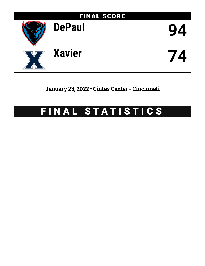

January 23, 2022 • Cintas Center - Cincinnati

# FINAL STATISTICS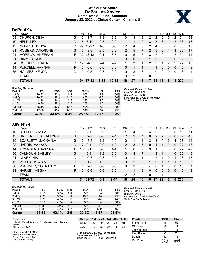# **Official Box Score DePaul vs Xavier Game Totals -- Final Statistics January 23, 2022 at Cintas Center - Cincinnati**



# **DePaul 94**

| No. | Plaver                 | S  | <b>Pts</b> | FG.       | 3FG      | FТ        | OR | DR | TR           | РF             | A  | TO | Blk      | Stl | Min        | $+/-$        |
|-----|------------------------|----|------------|-----------|----------|-----------|----|----|--------------|----------------|----|----|----------|-----|------------|--------------|
| 03  | CHURCH, DEJA           | G  | 5          | 1-7       | $1 - 3$  | $2 - 2$   | 0  | 3  | 3            | $\overline{2}$ | 2  | 0  | 0        | 2   | 24         | 22           |
| 10  | HELD, LEXI             | G  | 8          | $3 - 10$  | $2 - 7$  | $0 - 0$   |    | 1  | 2            | 3              | 8  | 3  |          | 2   | 33         | 13           |
| 11  | MORRIS, SONYA          | G  | 27         | $13 - 27$ | 1-8      | $0 - 0$   | 2  | 4  | 6            | 2              | 4  | 3  | $\Omega$ | 0   | 33         | 15           |
| 21  | ROGERS, DARRIONE       | G  | 10         | $3-9$     | $2 - 5$  | $2 - 2$   | 2  | 5  | 7            | $\mathcal{P}$  | 5  | 2  |          | 3   | 29         | 17           |
| 24  | <b>MORROW, ANEESAH</b> | F  | 32         | $13 - 18$ | $0 - 1$  | $6 - 7$   | 10 | 5  | 15           | 3              | 2  | 2  |          | 2   | 31         | 14           |
| 01  | RIMMER, KEKE           | G  | $\Omega$   | $0 - 0$   | $0 - 0$  | $0 - 0$   | 0  | 0  | $\mathbf{0}$ |                | 0  | 0  | 0        | 0   | 2          | -2           |
| 04  | <b>COLLIER, KIERRA</b> | G  | 12         | $4 - 7$   | $2 - 4$  | $2 - 2$   |    | 3  | 4            | 2              | 3  |    | 2        | 2   | 27         | 10           |
| 14  | PURCELL, HANNAH        | F. | $\Omega$   | $0 - 0$   | $0 - 0$  | $0 - 0$   | 0  |    |              |                |    | 0  | $\Omega$ | 0   | 5          | $\mathbf{3}$ |
| 35  | <b>HOLMES, KENDALL</b> | G  | $\Omega$   | $0 - 5$   | $0 - 3$  | $0 - 0$   | 0  | 3  | 3            | 1              | 0  | 2  | 0        | 0   | 16         | 4            |
|     | TEAM                   |    |            |           |          |           | 3  | 2  | 5            | 0              |    | 0  |          |     |            |              |
|     | <b>TOTALS</b>          |    |            | 94 37-83  | $8 - 31$ | $12 - 13$ | 19 | 27 | 46           | 17             | 25 | 13 | 5        | 11  | <b>200</b> |              |

| <b>Shooting By Period</b> |           |       |          |          |         |       | Deadball Rebounds: 0,0           |
|---------------------------|-----------|-------|----------|----------|---------|-------|----------------------------------|
| Period                    | FG        | FG%   | 3FG      | 3FG%     | FT      | FT%   | Last FG: 4th-01:06               |
| 1st Qtr                   | $10 - 23$ | 43%   | $0 - 8$  | 00%      | $3 - 3$ | 100%  | Biggest Run: 12-0                |
| 2nd Qtr                   | $10 - 22$ | 45%   | $4 - 10$ | 40%      | $6-6$   | 100%  | Largest lead: By 23 at 4th-01:06 |
| 3rd Qtr                   | $8 - 18$  | 44%   | $2-6$    | 33%      | $2 - 2$ | 100%  | Technical Fouls: None.           |
| 4th Qtr                   | $9 - 20$  | 45%   | $2 - 7$  | 29%      | $1 - 2$ | 50%   |                                  |
| 1st Half                  | $20 - 45$ | 44%   | $4 - 18$ | 22%      | $9-9$   | 100%  |                                  |
| 2nd Half                  | 17-38     | 45%   | $4 - 13$ | 31%      | $3-4$   | 75%   |                                  |
| Game                      | $37 - 83$ | 44.6% | $8 - 31$ | $25.8\%$ | 12-13   | 92.3% |                                  |

# **Xavier 74**

| No. | Player                    | S  | Pts | FG       | 3FG     | FT       | <b>OR</b>      | DR | TR             | РF | A        | ГΟ | Blk      | Stl | Min | $+/-$ |
|-----|---------------------------|----|-----|----------|---------|----------|----------------|----|----------------|----|----------|----|----------|-----|-----|-------|
| 10  | <b>BEELER, SHAILA</b>     | G  | 6   | $3-6$    | $0 - 0$ | $0 - 0$  |                | 4  | 5              | 4  | 5        | 5  | 0        | 0   | 19  | $-11$ |
| 11  | SATTERFIELD, KAELYNN      | G  | 6   | $2 - 7$  | $0 - 0$ | $2 - 4$  | $\overline{2}$ | 2  | 4              | 0  | 2        | 2  | $\Omega$ | 0   | 22  | $-16$ |
| 15  | <b>SCARLETT, MACKAYLA</b> | G  | 12  | $3 - 8$  | $1 - 2$ | $5-6$    | 0              |    |                | 2  | 3        | 6  | 0        | 4   | 27  | $-14$ |
| 23  | HARRIS, AANAYA            | G  | 17  | $8 - 11$ | $0 - 0$ | $1 - 3$  | $\overline{2}$ | 3  | 5              | 0  |          |    | 0        | 0   | 27  | $-16$ |
| 44  | TOWNSEND, AYANNA          | F. | 15  | $7 - 12$ | $0 - 0$ | $1 - 4$  | 1              | 6  |                | 3  |          | 3  | 0        | 0   | 27  | $-22$ |
| 00  | <b>CALHOUN, SHELBY</b>    | G  | 11  | $5 - 11$ | $1 - 2$ | $0 - 0$  | 3              | 4  |                |    | 3        | 1  |          | 0   | 25  | -9    |
| 01  | CLARK, NIA                | G  | 0   | $0 - 7$  | $0 - 3$ | $0 - 0$  | $\Omega$       | 1  |                | 1  | 2        | 1  | 0        | 1   | 26  | $-16$ |
| 12  | WOODS, KAYSIA             | G  | 3.  | $1 - 3$  | $1 - 2$ | $0 - 0$  | 0              | 2  | 2              |    | $\Omega$ |    |          |     | 13  | 2     |
| 30  | PRENGER, COURTNEY         | F  | 4   | $2 - 7$  | $0 - 0$ | $0 - 0$  | 6              | 2  | 8              | 4  | $\Omega$ |    | 0        | 0   | 10  | 4     |
| 31  | <b>HARKEY, MEGAN</b>      | F  | 0   | $0 - 0$  | $0 - 0$ | $0 - 0$  |                |    | $\overline{2}$ | 0  | $\Omega$ | 0  | $\Omega$ | 0   | 2   | $-2$  |
|     | <b>TEAM</b>               |    |     |          |         |          | 2              | 2  | 4              | 0  |          | 1  |          |     |     |       |
|     | <b>TOTALS</b>             |    |     | 74 31-72 | $3-9$   | $9 - 17$ | 18             | 28 | 46             | 16 | 17       | 22 | 2        | 6   | 200 |       |

| <b>Shooting By Period</b> |           |       |         |            |          |       |
|---------------------------|-----------|-------|---------|------------|----------|-------|
| Period                    | FG        | FG%   | 3FG     | 3FG%       | FT.      | FT%   |
| 1st Qtr                   | $9 - 16$  | 56%   | $0 - 1$ | 00%        | $1 - 2$  | 50%   |
| 2nd Qtr                   | $7-20$    | 35%   | $1 - 1$ | 100%       | $3 - 4$  | 75%   |
| 3rd Qtr                   | $9 - 21$  | 43%   | $1 - 5$ | <b>20%</b> | $4 - 9$  | 44%   |
| 4th Qtr                   | $6 - 15$  | 40%   | $1 - 2$ | 50%        | $1 - 2$  | 50%   |
| 1st Half                  | 16-36     | 44%   | $1 - 2$ | 50%        | $4-6$    | 67%   |
| 2nd Half                  | 15-36     | 42%   | $2 - 7$ | 29%        | $5 - 11$ | 45%   |
| Game                      | $31 - 72$ | 43.1% | $3-9$   | 33.3%      | $9 - 17$ | 52.9% |

*Deadball Rebounds:* 4,0 *Last FG:* 4th-00:22 *Biggest Run:* 9-0 *Largest lead:* By 4 at 1st-05:36 *Technical Fouls:* None.

| Game Notes:                                                   | <b>Score</b>                             | 1st. | 2nd             | 3rd | 4th | <b>TOT</b> | <b>Points</b>     | <b>DPU</b>    | <b>XAV</b>     |
|---------------------------------------------------------------|------------------------------------------|------|-----------------|-----|-----|------------|-------------------|---------------|----------------|
| Officials: David Rafalski, Krystle Apellaniz, Alexis<br>Perez | DPU                                      | 23   | 30              | 20  | 21  | 94         | In the Paint      | 48            | 50             |
| Attendance: 647                                               | XAV                                      | 19   | 18              | 23  | 14  | 74         | Off Turns         | 28            |                |
|                                                               |                                          |      |                 |     |     |            | 2nd Chance        | 21            |                |
| Start Time: 02:10 PM ET<br>End Time: 04:08 PM ET              | DPU led for 36:19. XAV led for 1:36.     |      |                 |     |     |            | <b>Fast Break</b> | 22            | 20             |
| Game Duration: 1:58                                           | Game was tied for 2:05.<br>Times tied: 3 |      | Lead Changes: 2 |     |     |            | Bench             | 12            | 18             |
| Conference Game:                                              |                                          |      |                 |     |     |            | Per Poss          | 146.<br>42/82 | 0.902<br>36/82 |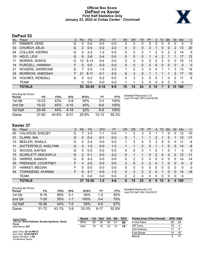# **Official Box Score DePaul vs Xavier First Half Statistics Only January 23, 2022 at Cintas Center - Cincinnati**



# **DePaul 53**

| No. | Plaver                 | S  | <b>Pts</b> | <b>FG</b> | 3FG     | <b>FT</b> | <b>OR</b> | DR       | TR | PF            | A  | TO | <b>Blk</b> | Stl           | Min      | $+/-$             |
|-----|------------------------|----|------------|-----------|---------|-----------|-----------|----------|----|---------------|----|----|------------|---------------|----------|-------------------|
| 01  | RIMMER, KEKE           | G  | 0          | $0 - 0$   | $0 - 0$ | $0-0$     | 0         | 0        | 0  | 0             | 0  | 0  | 0          | 0             | 0        | $\mathbf{0}$      |
| 03  | CHURCH, DEJA           | G  | 2          | $0 - 4$   | $0 - 2$ | $2 - 2$   | 0         | 0        | 0  | $\mathcal{P}$ |    | 0  | $\Omega$   | 2             | 13       | 20                |
| 04  | <b>COLLIER, KIERRA</b> | G  | 5          | $2 - 3$   | $1 - 2$ | $0-0$     | 0         | 2        | 2  |               | 2  | 0  | 2          | 2             | 14       | 5                 |
| 10  | HELD, LEXI             | G  | 6          | $2-6$     | $2 - 4$ | $0 - 0$   | 0         | 0        | 0  |               | 4  | 2  |            |               | 17       | $12 \overline{ }$ |
| 11  | <b>MORRIS, SONYA</b>   | G  | 12         | $6 - 14$  | $0 - 4$ | $0-0$     | 2         | 3        | 5  | 0             | 2  | 2  | 0          | 0             | 15       | 13                |
| 14  | PURCELL, HANNAH        | F. | 0          | $0 - 0$   | $0 - 0$ | $0 - 0$   | 0         | $\Omega$ | 0  | 0             | 0  | 0  | $\Omega$   | $\Omega$      | $\Omega$ | $\mathbf{0}$      |
| 21  | ROGERS, DARRIONE       | G  | 7          | $2 - 5$   | $1 - 3$ | $2 - 2$   |           | 2        | 3  | 0             | 4  |    |            | 3             | 13       | 14                |
| 24  | <b>MORROW, ANEESAH</b> | F. | 21         | $8 - 11$  | $0 - 1$ | $5 - 5$   | 6         | 3        | 9  |               |    |    |            | $\mathcal{P}$ | 17       | 10                |
| 35  | <b>HOLMES, KENDALL</b> | G  | 0          | $0 - 2$   | $0 - 2$ | $0 - 0$   | 0         | 3        | 3  | 0             | 0  |    | 0          | 0             | 11       | 6                 |
|     | <b>TEAM</b>            |    | 0          | $0 - 0$   | $0 - 0$ | $0 - 0$   |           | 1        | 2  | 0             | 0  | 0  | $\Omega$   | 0             | 0        |                   |
|     | <b>TOTALS</b>          |    | 53         | $20 - 45$ | 4-18    | $9-9$     | 10        | 14       | 24 | 5             | 14 |    | 5          | 10            | 100      |                   |

| <b>Shooting By Period</b><br>Period | FG        | FG%   | 3FG      | 3FG%   | FT        | FT%   | Deadball Rebounds: 0,0<br>Last FG Half: DPU 2nd-00:46 |
|-------------------------------------|-----------|-------|----------|--------|-----------|-------|-------------------------------------------------------|
| 1st Qtr                             | $10 - 23$ | 43%   | 0-8      | $00\%$ | $3-3$     | 100%  |                                                       |
| 2nd Otr                             | $10 - 22$ | 45%   | $4 - 10$ | 40%    | $6-6$     | 100%  |                                                       |
| 1st Half                            | $20 - 45$ | 44%   | $4 - 18$ | 22%    | $9-9$     | 100%  |                                                       |
| Game                                | $37 - 83$ | 44.6% | $8 - 31$ | 25.8%  | $12 - 13$ | 92.3% |                                                       |

# **Xavier 37**

| No. | Player                    | S  | <b>Pts</b>    | FG      | 3FG     | <b>FT</b> | <b>OR</b> | <b>DR</b> | TR. | PF            | A        | TO | <b>Blk</b> | Stl      | Min         | $+/-$ |
|-----|---------------------------|----|---------------|---------|---------|-----------|-----------|-----------|-----|---------------|----------|----|------------|----------|-------------|-------|
| 00  | CALHOUN, SHELBY           | G  |               | $3-5$   | 1-1     | $0 - 0$   |           | 2         | 3   | 0             |          |    | 0          | 0        | 12          | $-10$ |
| 01  | CLARK, NIA                | G  | 0             | $0 - 4$ | $0 - 1$ | $0 - 0$   | 0         |           |     |               | 2        |    | 0          |          | 12          | $-17$ |
| 10  | <b>BEELER, SHAILA</b>     | G  | 4             | $2 - 4$ | $0 - 0$ | $0 - 0$   | 1.        | 3         | 4   | 2             | 3        | 5  | 0          | O        | 11          | $-4$  |
| 11  | SATTERFIELD, KAELYNN      | G  | 3             | $1 - 5$ | $0 - 0$ | $1 - 2$   |           |           | 2   | 0             |          |    | 0          | $\Omega$ | 14          | -8    |
| 12  | WOODS, KAYSIA             | G  | 0             | $0 - 0$ | $0 - 0$ | $0 - 0$   | 0         | 0         | 0   |               | 0        |    | 0          |          | 4           | 0     |
| 15  | <b>SCARLETT, MACKAYLA</b> | G  | $\mathcal{P}$ | $0 - 1$ | $0 - 0$ | $2 - 2$   | 0         |           |     | 0             | 2        | 4  | 0          | 2        | 12          | $-11$ |
| 23  | HARRIS, AANAYA            | G  | 8             | $4 - 5$ | $0 - 0$ | $0 - 0$   | $\Omega$  | 2         | 2   | 0             | 0        | 0  | 0          | 0        | 14          | $-14$ |
| 30  | PRENGER, COURTNEY         | F. | 4             | $2 - 5$ | $0 - 0$ | $0 - 0$   | 3         | 0         | 3   | $\mathcal{P}$ | $\Omega$ | 1  | 0          | $\Omega$ | 6           | 2     |
| -31 | <b>HARKEY, MEGAN</b>      | F  | 0             | $0 - 0$ | $0 - 0$ | $0 - 0$   | $\Omega$  | 0         | 0   | 0             | 0        | 0  | 0          | 0        | $\Omega$    | 0     |
| 44  | TOWNSEND, AYANNA          | F. | 9             | $4 - 7$ | $0 - 0$ | $1 - 2$   | $\Omega$  | 3         | 3   | $\mathcal{P}$ | $\Omega$ |    | 0          | 0        | 14          | $-18$ |
|     | <b>TEAM</b>               |    | 0             | $0-0$   | $0 - 0$ | $0 - 0$   | 2         | 2         | 4   | 0             | 0        | 0  | 0          | 0        | $\mathbf 0$ |       |
|     | <b>TOTALS</b>             |    | 37            | 16-36   | $1 - 2$ | $4 - 6$   | 8         | 15        | 23  | 8             | 9        | 15 | 0          | 4        | 100         |       |
|     |                           |    |               |         |         |           |           |           |     |               |          |    |            |          |             |       |

| <b>Shooting By Period</b><br>Period | FG        | FG%   | 3FG   | 3FG%  | FT       | FT%   |
|-------------------------------------|-----------|-------|-------|-------|----------|-------|
| 1st Otr                             | 9-16      | 56%   | በ-1   | 00%   | $1 - 2$  | 50%   |
| 2nd Otr                             | $7-20$    | 35%   | 1-1   | 100%  | $3-4$    | 75%   |
| 1st Half                            | 16-36     | 44%   | 1-2   | 50%   | $4-6$    | 67%   |
| Game                                | $31 - 72$ | 43.1% | $3-9$ | 33.3% | $9 - 17$ | 52.9% |

*Deadball Rebounds:* 4,0 *Last FG Half:* XAV 2nd-00:01

| Game Notes:                                                   | <b>Score</b> | 1st | 2nd | 3rd | 4th | <b>TOT</b> | <b>Points from (This Period)</b> | <b>DPU XAV</b> |    |
|---------------------------------------------------------------|--------------|-----|-----|-----|-----|------------|----------------------------------|----------------|----|
| Officials: David Rafalski, Krystle Apellaniz, Alexis<br>Perez | DPU          | 23  | 30  | 20  |     | 94         | In the Paint                     | 28             | 28 |
| Attendance: 647                                               | XAV          | 19  | 18  | 23  |     | 74         | Off Turns                        | 18             |    |
|                                                               |              |     |     |     |     |            | 2nd Chance                       |                |    |
| Start Time: 02:10 PM ET<br>End Time: 04:08 PM ET              |              |     |     |     |     |            | Fast Break                       | 14             |    |
| Game Duration: 1:58<br>Conference Game;                       |              |     |     |     |     |            | Bench                            |                |    |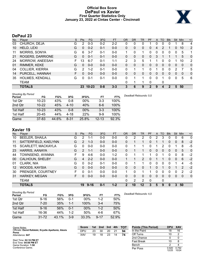# **Official Box Score DePaul vs Xavier First Quarter Statistics Only January 23, 2022 at Cintas Center - Cincinnati**



# **DePaul 23**

| No. | Plaver                 | S | <b>Pts</b> | <b>FG</b> | 3FG     | <b>FT</b> | <b>OR</b> | <b>DR</b>    | <b>TR</b> | PF       | $\mathsf{A}$ | TO       | <b>Blk</b> | Stl          | Min | $+/-$          |
|-----|------------------------|---|------------|-----------|---------|-----------|-----------|--------------|-----------|----------|--------------|----------|------------|--------------|-----|----------------|
| 03  | CHURCH, DEJA           | G | 2          | $0 - 3$   | $0 - 2$ | $2 - 2$   | 0         | 0            | 0         |          | 0            | 0        |            |              | 8   | 4              |
| 10  | HELD, LEXI             | G | 0          | $0 - 2$   | $0 - 1$ | $0-0$     | 0         | $\mathbf{0}$ | 0         | $\Omega$ | 4            | 2        |            | $\mathbf{0}$ | 10  | 2              |
| 11  | <b>MORRIS, SONYA</b>   | G | 6          | $3 - 7$   | $0 - 1$ | $0 - 0$   | 1         | 0            | 1         | 0        | 0            | $\Omega$ | 0          | 0            | 5   | 1              |
| 21  | ROGERS, DARRIONE       | G | 0          | $0 - 1$   | $0 - 1$ | $0 - 0$   | 0         | 0            | 0         | 0        | 3            |          |            |              | 5   | $\mathbf{0}$   |
| 24  | MORROW, ANEESAH        | F | 13         | $6 - 7$   | $0 - 1$ | 1-1       | 2         | 3            | 5         |          |              | 0        | 0          |              | 10  | $\overline{2}$ |
| 01  | RIMMER, KEKE           | G | 0          | $0 - 0$   | $0 - 0$ | $0 - 0$   | 0         | 0            | 0         | 0        | 0            | 0        | 0          | 0            | 0   | $\mathbf{0}$   |
| 04  | <b>COLLIER, KIERRA</b> | G | 2          | $1 - 2$   | $0 - 1$ | $0-0$     | 0         |              | 1         | U        |              | 0        | 0          | 2            |     | 5              |
| 14  | PURCELL, HANNAH        | F | 0          | $0 - 0$   | $0 - 0$ | $0 - 0$   | $\Omega$  | $\Omega$     | 0         | 0        | 0            | 0        | 0          | $\mathbf{0}$ | 0   | $\mathbf{0}$   |
| 35  | HOLMES, KENDALL        | G | 0          | $0 - 1$   | $0 - 1$ | $0-0$     | $\Omega$  |              | 1         | 0        | 0            |          | 0          | 0            | 5   | 6              |
|     | TEAM                   |   |            |           |         |           | 0         |              |           | 0        |              | 0        |            |              |     |                |
|     | <b>TOTALS</b>          |   | 23         | $10 - 23$ | $0 - 8$ | $3 - 3$   | 3         | 6            | 9         | 2        | 9            | 4        | 2          | 5            | 50  |                |

| <b>Shooting By Period</b><br>Period | FG        | FG%   | 3FG      | 3FG%   | FT        | FT%   | Deadball Rebounds: 0,0 |
|-------------------------------------|-----------|-------|----------|--------|-----------|-------|------------------------|
| 1st Qtr                             | $10 - 23$ | 43%   | $0 - 8$  | 00%    | $3-3$     | 100%  |                        |
| 2nd Qtr                             | $10 - 22$ | 45%   | $4 - 10$ | 40%    | $6-6$     | 100%  |                        |
| 1st Half                            | $10 - 23$ | 43%   | $0 - 8$  | $00\%$ | $3-3$     | 100%  |                        |
| 1st Half                            | $20 - 45$ | 44%   | $4 - 18$ | 22%    | $9-9$     | 100%  |                        |
| Game                                | $37 - 83$ | 44.6% | $8 - 31$ | 25.8%  | $12 - 13$ | 92.3% |                        |

# **Xavier 19**

| No. | Plaver                 | S | Pts      | <b>FG</b> | 3FG     | <b>FT</b> | OR             | DR | TR | PF | A            | TO       | <b>Blk</b> | Stl | Min      | $+/-$          |
|-----|------------------------|---|----------|-----------|---------|-----------|----------------|----|----|----|--------------|----------|------------|-----|----------|----------------|
| 10  | <b>BEELER, SHAILA</b>  | G | 2        | 1-1       | $0 - 0$ | $0-0$     | 0              | 2  | 2  | 0  | 2            | 3        | 0          | 0   | 6        | $\mathbf{0}$   |
| 11  | SATTERFIELD, KAELYNN   | G | 2        | $1 - 3$   | $0 - 0$ | $0 - 0$   | 0              |    | 1  | 0  |              |          | 0          | 0   | 8        | $-2$           |
| 15  | SCARLETT, MACKAYLA     | G | 0        | $0 - 0$   | $0 - 0$ | $0 - 0$   | 0              |    | 1. | 0  |              | 2        |            |     | 8        | -5             |
| 23  | HARRIS, AANAYA         | G | 2        | 1-1       | $0 - 0$ | $0 - 0$   | 0              |    | 1. | 0  | $\mathbf{0}$ | $\Omega$ | 0          | 0   | 5        | $\Omega$       |
| 44  | TOWNSEND, AYANNA       | F | 9        | $4-6$     | $0 - 0$ | $1 - 2$   | 0              |    | 1  |    | 0            |          | 0          | 0   | 8        | $-2$           |
| 00  | <b>CALHOUN, SHELBY</b> | G | 4        | $2 - 2$   | $0 - 0$ | $0 - 0$   |                |    | 2  | 0  |              |          | 0          | 0   | 6        | $-2$           |
| 01  | CLARK, NIA             | G | 0        | $0 - 2$   | $0 - 1$ | $0 - 0$   | 0              |    | 1. | 0  | $\Omega$     | 0        | U          |     | 4        | -5             |
| 12  | WOODS, KAYSIA          | G | $\Omega$ | $0 - 0$   | $0 - 0$ | $0 - 0$   | $\Omega$       | 0  | 0  |    | 0            |          | 0          |     | 2        | $-2$           |
| 30  | PRENGER, COURTNEY      | F | 0        | $0 - 1$   | $0 - 0$ | $0 - 0$   |                | 0  | 1  |    | $\Omega$     | 0        | 0          | 0   | 2        | $-2$           |
| 31  | <b>HARKEY, MEGAN</b>   | F | 0        | $0 - 0$   | $0 - 0$ | $0 - 0$   | 0              | 0  | 0  | 0  | $\Omega$     | 0        | 0          | 0   | $\Omega$ | $\overline{0}$ |
|     | <b>TEAM</b>            |   |          |           |         |           | 0              | 2  | 2  | 0  |              | 0        |            |     |          |                |
|     | <b>TOTALS</b>          |   | 19       | $9 - 16$  | $0 - 1$ | $1 - 2$   | $\mathfrak{p}$ | 10 | 12 | 3  | 5            | 9        |            | 3   | 50       |                |

| <b>Shooting By Period</b><br>Period | FG        | FG%   | 3FG     | 3FG%   | FT       | FT%   | Deadball Rebounds: 4,0 |
|-------------------------------------|-----------|-------|---------|--------|----------|-------|------------------------|
| 1st Qtr                             | $9 - 16$  | 56%   | $0 - 1$ | $00\%$ | 1-2      | 50%   |                        |
| 2nd Qtr                             | $7 - 20$  | 35%   | $1 - 1$ | 100%   | $3 - 4$  | 75%   |                        |
| 1st Half                            | $9 - 16$  | 56%   | $0 - 1$ | 00%    | $1 - 2$  | 50%   |                        |
| 1st Half                            | 16-36     | 44%   | $1 - 2$ | 50%    | 4-6      | 67%   |                        |
| Game                                | $31 - 72$ | 43.1% | $3-9$   | 33.3%  | $9 - 17$ | 52.9% |                        |

| <b>Score</b> |    | 1st 2nd 3rd |    | 4th | тот | <b>Points (This Period)</b> | <b>DPU</b>     | <b>XAV</b>     |
|--------------|----|-------------|----|-----|-----|-----------------------------|----------------|----------------|
| <b>DPU</b>   | 23 | 30          | 20 | 21  | 94  | In the Paint                | 18             | 16             |
| <b>XAV</b>   | 19 | 18          | 23 | 14  | 74  | Off Turns                   | 10             | 2              |
|              |    |             |    |     |     | 2nd Chance                  |                |                |
|              |    |             |    |     |     | <b>Fast Break</b>           | 10             | 8              |
|              |    |             |    |     |     | Bench                       | າ              |                |
|              |    |             |    |     |     | Per Poss                    | 0.920<br>12/25 | 0.792<br>10/24 |

Start Time: **02:10 PM ET** End Time: **04:08 PM ET** Game Duration: **1:58** Conference Game;

Game Notes: Officials: **David Rafalski, Krystle Apellaniz, Alexis Perez** Attendance: **647**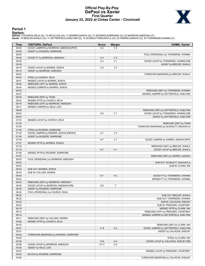# **Official Play-By-Play DePaul vs Xavier First Quarter January 23, 2022 at Cintas Center - Cincinnati**



### **Period 1**

<mark>Starters :</mark><br>DePaul: 3 CHURCH,DEJA (G); 10 HELD,LEXI (G); 11 MORRIS,SONYA (G); 21 ROGERS,DARRIONE (G); 24 MORROW,ANEESAH (F);<br>**Xavie**r: 10 BEELER,SHAILA (G); 11 SATTERFIELD,KAELYNN (G); 15 SCARLETT,MACKAYLA (G); 23 HARRIS,

| Time           | <b>VISITORS: DePaul</b>                | <b>Score</b> | <b>Margin</b>  | <b>HOME: Xavier</b>                                  |
|----------------|----------------------------------------|--------------|----------------|------------------------------------------------------|
| 09:50          | GOOD! JUMPER by MORROW, ANEESAH [PNT]  | $0 - 2$      | V <sub>2</sub> |                                                      |
| 09:50          | ASSIST by ROGERS, DARRIONE             |              |                |                                                      |
| 09:50          |                                        |              |                | FOUL (PERSONAL) by TOWNSEND, AYANNA                  |
| 09:50          | GOOD! FT by MORROW, ANEESAH            | $0 - 3$      | V <sub>3</sub> |                                                      |
| 09:39          |                                        | $2 - 3$      | V <sub>1</sub> | GOOD! LAYUP by TOWNSEND, AYANNA [FB]                 |
| 09:39          |                                        |              |                | ASSIST by BEELER, SHAILA                             |
| 09:15          | GOOD! LAYUP by MORRIS, SONYA           | $2 - 5$      | $V_3$          |                                                      |
| 09:15          | ASSIST by MORROW, ANEESAH              |              |                |                                                      |
| 08:53          |                                        |              |                | TURNOVER (BADPASS) by BEELER, SHAILA                 |
| 08:53          | STEAL by CHURCH. DEJA                  |              |                |                                                      |
| 08:47          | MISSED LAYUP by MORRIS, SONYA          |              |                |                                                      |
| 08:45          | REBOUND (OFF) by MORRIS, SONYA         |              |                |                                                      |
| 08:44          | MISSED JUMPER by MORRIS, SONYA         |              |                |                                                      |
| 08:42          |                                        |              |                | REBOUND (DEF) by TOWNSEND, AYANNA                    |
| 08:37<br>08:35 | REBOUND (DEF) by TEAM                  |              |                | MISSED JUMPER by SATTERFIELD, KAELYNN                |
| 08:22          | MISSED 3PTR by CHURCH, DEJA            |              |                |                                                      |
| 08:19          | REBOUND (OFF) by MORROW, ANEESAH       |              |                |                                                      |
| 08:11          | MISSED JUMPER by HELD, LEXI            |              |                |                                                      |
| 08:09          |                                        |              |                | REBOUND (DEF) by SATTERFIELD, KAELYNN                |
| 08:03          |                                        | $4 - 5$      | V <sub>1</sub> | GOOD! LAYUP by TOWNSEND, AYANNA [FB]                 |
| 08:03          |                                        |              |                | ASSIST by SATTERFIELD, KAELYNN                       |
| 07:53          | MISSED LAYUP by CHURCH, DEJA           |              |                |                                                      |
| 07:52          |                                        |              |                | REBOUND (DEF) by TEAM                                |
| 07:50          |                                        |              |                | TURNOVER (BADPASS) by SCARLETT, MACKAYLA             |
| 07:50          | STEAL by ROGERS, DARRIONE              |              |                |                                                      |
| 07:45          | GOOD! JUMPER by MORRIS, SONYA [FB/PNT] | $4 - 7$      | $V_3$          |                                                      |
| 07:45          | ASSIST by ROGERS, DARRIONE             |              |                |                                                      |
| 07:34          |                                        | $6 - 7$      | V <sub>1</sub> | GOOD! JUMPER by HARRIS, AANAYA [PNT]                 |
| 07:27          | MISSED 3PTR by MORRIS, SONYA           |              |                |                                                      |
| 07:23          |                                        |              |                | REBOUND (DEF) by BEELER, SHAILA                      |
| 07:16          |                                        | $8 - 7$      | H1             | GOOD! LAYUP by BEELER, SHAILA                        |
| 07:06          | MISSED 3PTR by ROGERS, DARRIONE        |              |                |                                                      |
| 07:03          |                                        |              |                | REBOUND (DEF) by HARRIS, AANAYA                      |
| 06:53          | FOUL (PERSONAL) by MORROW, ANEESAH     |              |                |                                                      |
| 06:53          |                                        |              |                | SUB OUT: SCARLETT, MACKAYLA                          |
| 06:53          |                                        |              |                | SUB IN: CLARK, NIA                                   |
| 06:53          | SUB OUT: MORRIS, SONYA                 |              |                |                                                      |
| 06:53          | SUB IN: COLLIER, KIERRA                |              |                |                                                      |
| 06:53          |                                        | $9 - 7$      | H <sub>2</sub> | GOOD! FT by TOWNSEND, AYANNA                         |
| 06:53          |                                        |              |                | MISSED FT by TOWNSEND, AYANNA                        |
| 06:53          | REBOUND (DEF) by MORROW, ANEESAH       |              |                |                                                      |
| 06:45          | GOOD! LAYUP by MORROW, ANEESAH [FB]    | $9-9$        | T              |                                                      |
| 06:45          | ASSIST by ROGERS, DARRIONE             |              |                |                                                      |
| 06:22          | FOUL (PERSONAL) by CHURCH, DEJA        |              |                |                                                      |
| 06:22          |                                        |              |                | SUB OUT: BEELER, SHAILA                              |
| 06:22          |                                        |              |                | SUB OUT: TOWNSEND, AYANNA                            |
| 06:22<br>06:22 |                                        |              |                | SUB IN: CALHOUN, SHELBY<br>SUB IN: PRENGER, COURTNEY |
| 06:19          |                                        |              |                | MISSED 3PTR by CLARK, NIA                            |
| 06:15          |                                        |              |                | REBOUND (OFF) by PRENGER, COURTNEY                   |
| 06:14          |                                        |              |                | MISSED JUMPER by SATTERFIELD, KAELYNN                |
| 06:11          | REBOUND (DEF) by COLLIER, KIERRA       |              |                |                                                      |
| 06:06          | MISSED 3PTR by CHURCH, DEJA            |              |                |                                                      |
| 06:03          |                                        |              |                | REBOUND (DEF) by CLARK, NIA                          |
| 05:51          |                                        | $11-9$       | H <sub>2</sub> | GOOD! JUMPER by SATTERFIELD, KAELYNN                 |
| 05:51          |                                        |              |                | ASSIST by CALHOUN, SHELBY                            |
| 05:40          | TURNOVER (BADPASS) by ROGERS, DARRIONE |              |                |                                                      |
| 05:40          |                                        |              |                | STEAL by CLARK, NIA                                  |
| 05:36          |                                        | $13-9$       | H4             | GOOD! LAYUP by CALHOUN, SHELBY [FB]                  |
| 05:26          | GOOD! LAYUP by MORROW, ANEESAH         | $13 - 11$    | H <sub>2</sub> |                                                      |
| 05:26          | ASSIST by HELD, LEXI                   |              |                |                                                      |
| 05:03          |                                        |              |                | MISSED LAYUP by PRENGER, COURTNEY                    |
| 05:03          | BLOCK by ROGERS, DARRIONE              |              |                |                                                      |
| 04:59          |                                        |              |                | TURNOVER (BADPASS) by CALHOUN, SHELBY                |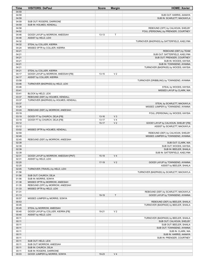| Time           | <b>VISITORS: DePaul</b>                                 | <b>Score</b> | <b>Margin</b>  | <b>HOME: Xavier</b>                                                     |
|----------------|---------------------------------------------------------|--------------|----------------|-------------------------------------------------------------------------|
| 04:59          |                                                         |              |                |                                                                         |
| 04:59          |                                                         |              |                | SUB OUT: HARRIS, AANAYA                                                 |
| 04:59          |                                                         |              |                | SUB IN: SCARLETT, MACKAYLA                                              |
| 04:59          | SUB OUT: ROGERS, DARRIONE                               |              |                |                                                                         |
| 04:59          | SUB IN: HOLMES, KENDALL                                 |              |                |                                                                         |
| 04:58          |                                                         |              |                | REBOUND (OFF) by CALHOUN, SHELBY                                        |
| 04:52<br>04:46 |                                                         | $13 - 13$    | T              | FOUL (PERSONAL) by PRENGER, COURTNEY                                    |
| 04:46          | GOOD! LAYUP by MORROW, ANEESAH<br>ASSIST by HELD, LEXI  |              |                |                                                                         |
| 04:32          |                                                         |              |                | TURNOVER (BADPASS) by SATTERFIELD, KAELYNN                              |
| 04:32          | STEAL by COLLIER, KIERRA                                |              |                |                                                                         |
| 04:24          | MISSED 3PTR by COLLIER, KIERRA                          |              |                |                                                                         |
| 04:21          |                                                         |              |                | REBOUND (DEF) by TEAM                                                   |
| 04:21          |                                                         |              |                | SUB OUT: SATTERFIELD, KAELYNN                                           |
| 04:21          |                                                         |              |                | SUB OUT: PRENGER, COURTNEY                                              |
| 04:21          |                                                         |              |                | SUB IN: WOODS, KAYSIA                                                   |
| 04:21          |                                                         |              |                | SUB IN: TOWNSEND, AYANNA                                                |
| 04:21          |                                                         |              |                | TURNOVER (BADPASS) by WOODS, KAYSIA                                     |
| 04:21          | STEAL by COLLIER, KIERRA                                |              |                |                                                                         |
| 04:17          | GOOD! LAYUP by MORROW, ANEESAH [FB]                     | $13 - 15$    | V <sub>2</sub> |                                                                         |
| 04:17          | ASSIST by COLLIER, KIERRA                               |              |                |                                                                         |
| 03:58          |                                                         |              |                | TURNOVER (DRIBBLING) by TOWNSEND, AYANNA                                |
| 03:46          | TURNOVER (BADPASS) by HELD, LEXI                        |              |                |                                                                         |
| 03:46          |                                                         |              |                | STEAL by WOODS, KAYSIA                                                  |
| 03:41          |                                                         |              |                | MISSED LAYUP by CLARK, NIA                                              |
| 03:41<br>03:37 | BLOCK by HELD, LEXI<br>REBOUND (DEF) by HOLMES, KENDALL |              |                |                                                                         |
| 03:37          | TURNOVER (BADPASS) by HOLMES, KENDALL                   |              |                |                                                                         |
| 03:37          |                                                         |              |                | STEAL by SCARLETT, MACKAYLA                                             |
| 03:26          |                                                         |              |                | MISSED JUMPER by TOWNSEND, AYANNA                                       |
| 03:24          | REBOUND (DEF) by MORROW, ANEESAH                        |              |                |                                                                         |
| 03:19          |                                                         |              |                | FOUL (PERSONAL) by WOODS, KAYSIA                                        |
| 03:19          | GOOD! FT by CHURCH, DEJA [FB]                           | $13 - 16$    | V <sub>3</sub> |                                                                         |
| 03:19          | GOOD! FT by CHURCH, DEJA [FB]                           | $13 - 17$    | V <sub>4</sub> |                                                                         |
| 03:12          |                                                         | $15 - 17$    | V <sub>2</sub> | GOOD! LAYUP by CALHOUN, SHELBY [FB]                                     |
| 03:12          |                                                         |              |                | ASSIST by SCARLETT, MACKAYLA                                            |
| 03:02          | MISSED 3PTR by HOLMES, KENDALL                          |              |                |                                                                         |
| 02:59          |                                                         |              |                | REBOUND (DEF) by CALHOUN, SHELBY                                        |
| 02:49          |                                                         |              |                | MISSED JUMPER by TOWNSEND, AYANNA                                       |
| 02:45          | REBOUND (DEF) by MORROW, ANEESAH                        |              |                |                                                                         |
| 02:39          |                                                         |              |                | SUB OUT: CLARK, NIA                                                     |
| 02:39<br>02:39 |                                                         |              |                | SUB OUT: WOODS, KAYSIA                                                  |
| 02:39          |                                                         |              |                | SUB IN: BEELER, SHAILA<br>SUB IN: SATTERFIELD, KAELYNN                  |
| 02:31          | GOOD! LAYUP by MORROW, ANEESAH [PNT]                    | $15-19$      | V <sub>4</sub> |                                                                         |
| 02:31          | ASSIST by HELD, LEXI                                    |              |                |                                                                         |
| 02:20          |                                                         | $17-19$      | V <sub>2</sub> | GOOD! LAYUP by TOWNSEND, AYANNA                                         |
| 02:20          |                                                         |              |                | ASSIST by BEELER, SHAILA                                                |
| 02:05          | TURNOVER (TRAVEL) by HELD, LEXI                         |              |                |                                                                         |
| 01:56          |                                                         |              |                | TURNOVER (BADPASS) by SCARLETT, MACKAYLA                                |
| 01:56          | SUB OUT: CHURCH, DEJA                                   |              |                |                                                                         |
| 01:56          | SUB IN: MORRIS, SONYA                                   |              |                |                                                                         |
| 01:38          | MISSED 3PTR by MORROW, ANEESAH                          |              |                |                                                                         |
| 01:35          | REBOUND (OFF) by MORROW, ANEESAH                        |              |                |                                                                         |
| 01:33          | MISSED 3PTR by HELD, LEXI                               |              |                |                                                                         |
| 01:31          |                                                         |              |                | REBOUND (DEF) by SCARLETT, MACKAYLA                                     |
| 01:13          |                                                         | 19-19        | T              | GOOD! LAYUP by TOWNSEND, AYANNA                                         |
| 00:57          | MISSED JUMPER by MORRIS, SONYA                          |              |                |                                                                         |
| 00:53<br>00:45 |                                                         |              |                | REBOUND (DEF) by BEELER, SHAILA<br>TURNOVER (BADPASS) by BEELER, SHAILA |
| 00:45          | STEAL by MORROW, ANEESAH                                |              |                |                                                                         |
| 00:40          | GOOD! LAYUP by COLLIER, KIERRA [FB]                     | 19-21        | V <sub>2</sub> |                                                                         |
| 00:40          | ASSIST by HELD, LEXI                                    |              |                |                                                                         |
| 00:11          |                                                         |              |                | TURNOVER (BADPASS) by BEELER, SHAILA                                    |
| 00:11          |                                                         |              |                | SUB OUT: CALHOUN, SHELBY                                                |
| 00:11          |                                                         |              |                | SUB OUT: BEELER, SHAILA                                                 |
| 00:11          |                                                         |              |                | SUB OUT: TOWNSEND, AYANNA                                               |
| 00:11          |                                                         |              |                | SUB IN: CLARK, NIA                                                      |
| 00:11          |                                                         |              |                | SUB IN: HARRIS, AANAYA                                                  |
| 00:11          |                                                         |              |                | SUB IN: PRENGER, COURTNEY                                               |
| 00:11          | SUB OUT: HELD, LEXI                                     |              |                |                                                                         |
| 00:11          | SUB OUT: MORROW, ANEESAH                                |              |                |                                                                         |
| 00:11          | SUB IN: CHURCH, DEJA                                    |              |                |                                                                         |
| 00:11          | SUB IN: ROGERS, DARRIONE                                |              |                |                                                                         |
| 00:03          | GOOD! JUMPER by MORRIS, SONYA                           | 19-23        | V <sub>4</sub> |                                                                         |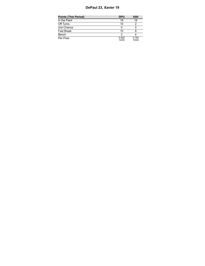# **DePaul 23, Xavier 19**

| <b>Points (This Period)</b> | <b>DPU</b>     | <b>XAV</b>     |
|-----------------------------|----------------|----------------|
| In the Paint                | 18             | 16             |
| Off Turns                   | 10             |                |
| 2nd Chance                  |                |                |
| Fast Break                  | 10             |                |
| Bench                       | າ              |                |
| Per Poss                    | 0.920<br>12/25 | 0.792<br>10/24 |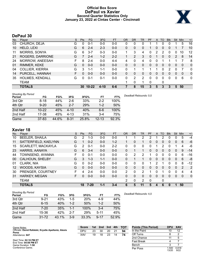# **Official Box Score DePaul vs Xavier Second Quarter Statistics Only January 23, 2022 at Cintas Center - Cincinnati**



# **DePaul 30**

| No. | Plaver                 | S | <b>Pts</b> | <b>FG</b> | 3FG      | <b>FT</b> | <b>OR</b> | <b>DR</b>    | <b>TR</b> | PF | $\mathsf{A}$ | TO       | <b>Blk</b> | Stl           | Min | $+/-$        |
|-----|------------------------|---|------------|-----------|----------|-----------|-----------|--------------|-----------|----|--------------|----------|------------|---------------|-----|--------------|
| 03  | CHURCH, DEJA           | G | 0          | $0 - 1$   | $0 - 0$  | $0-0$     | 0         | 0            | 0         |    |              | 0        | 0          |               | 5   | 16           |
| 10  | HELD, LEXI             | G | 6          | $2 - 4$   | $2 - 3$  | $0-0$     | 0         | $\mathbf{0}$ | 0         |    | 0            | $\Omega$ | $\Omega$   |               |     | 10           |
| 11  | <b>MORRIS, SONYA</b>   | G | 6          | $3 - 7$   | $0 - 3$  | $0 - 0$   | 1.        | 3            | 4         | 0  | 2            | 2        | 0          | 0             | 10  | 12           |
| 21  | ROGERS, DARRIONE       | G |            | $2 - 4$   | $1 - 2$  | $2 - 2$   |           | 2            | 3         | 0  |              | 0        | $\Omega$   | $\mathcal{P}$ | 8   | 14           |
| 24  | MORROW, ANEESAH        | F | 8          | $2 - 4$   | $0 - 0$  | $4 - 4$   | 4         | 0            | 4         | 0  | $\Omega$     |          |            |               |     | 8            |
| 01  | RIMMER, KEKE           | G | 0          | $0 - 0$   | $0 - 0$  | $0 - 0$   | 0         | 0            | 0         | 0  | $\Omega$     | 0        | 0          | 0             | 0   | $\mathbf 0$  |
| 04  | <b>COLLIER, KIERRA</b> | G | 3          | 1-1       | 1-1      | $0 - 0$   | $\Omega$  |              |           |    |              | 0        | 2          | 0             |     | 0            |
| 14  | PURCELL, HANNAH        | F | 0          | $0 - 0$   | $0 - 0$  | $0 - 0$   | $\Omega$  | $\mathbf{0}$ | 0         | 0  | 0            | 0        | 0          | 0             | 0   | $\mathbf{0}$ |
| 35  | HOLMES, KENDALL        | G | 0          | $0 - 1$   | $0 - 1$  | $0-0$     | 0         | 2            | 2         | 0  | 0            | 0        | 0          | 0             | 6   | $\Omega$     |
|     | TEAM                   |   |            |           |          |           |           | $\mathbf{0}$ | 1         | 0  |              | 0        |            |               |     |              |
|     | <b>TOTALS</b>          |   | 30         | $10 - 22$ | $4 - 10$ | $6 - 6$   |           | 8            | 15        | 3  | 5            | 3        | 3          | 5             | 50  |              |

| <b>Shooting By Period</b><br>Period | FG        | FG%   | 3FG      | 3FG%  | FT        | FT%   | Deadball Rebounds: 0.0 |
|-------------------------------------|-----------|-------|----------|-------|-----------|-------|------------------------|
| 3rd Qtr                             | $8 - 18$  | 44%   | $2-6$    | 33%   | $2 - 2$   | 100%  |                        |
| 4th Qtr                             | $9 - 20$  | 45%   | $2 - 7$  | 29%   | 1-2       | 50%   |                        |
| 2nd Half                            | $10 - 22$ | 45%   | $4 - 10$ | 40%   | $6-6$     | 100%  |                        |
| 2nd Half                            | 17-38     | 45%   | $4 - 13$ | 31%   | $3-4$     | 75%   |                        |
| Game                                | $37 - 83$ | 44.6% | $8 - 31$ | 25.8% | $12 - 13$ | 92.3% |                        |

# **Xavier 18**

| No. | Plaver                 | S  | Pts | <b>FG</b> | 3FG     | <b>FT</b> | 0R            | DR | <b>TR</b> | PF | A            | TO       | <b>Blk</b> | Stl      | Min | $+/-$        |
|-----|------------------------|----|-----|-----------|---------|-----------|---------------|----|-----------|----|--------------|----------|------------|----------|-----|--------------|
| 10  | <b>BEELER, SHAILA</b>  | G  | 2   | $1 - 3$   | $0 - 0$ | $0 - 0$   |               |    | 2         | 2  |              |          | $\Omega$   | 0        | 5   | $-4$         |
| 11  | SATTERFIELD, KAELYNN   | G  |     | $0 - 2$   | $0 - 0$ | $1 - 2$   |               | 0  |           | 0  | 0            | $\Omega$ | 0          | 0        | 6   | $-6$         |
| 15  | SCARLETT, MACKAYLA     | G  | 2   | $0 - 1$   | $0 - 0$ | $2 - 2$   | 0             | 0  | 0         | 0  |              | 2        | 0          |          | 4   | -6           |
| 23  | HARRIS, AANAYA         | G  | 6   | $3 - 4$   | $0 - 0$ | $0 - 0$   | $\Omega$      |    | 1.        | 0  | 0            | 0        | 0          | 0        | 9   | $-14$        |
| 44  | TOWNSEND, AYANNA       | F  | O   | $0 - 1$   | $0 - 0$ | $0 - 0$   | 0             | 2  | 2         |    | 0            | ∩        | 0          | 0        | 6   | $-16$        |
| 00  | <b>CALHOUN, SHELBY</b> | G  | 3   | $1 - 3$   | $1 - 1$ | $0 - 0$   | $\Omega$      |    | 1         | 0  | $\mathbf{0}$ | $\Omega$ | $\Omega$   | $\Omega$ | 6   | -8           |
| 01  | CLARK, NIA             | G  | 0   | $0 - 2$   | $0 - 0$ | $0 - 0$   | 0             | 0  | 0         |    | 2            |          | 0          | $\Omega$ | 8   | $-12$        |
| 12  | WOODS, KAYSIA          | G  | 0   | $0 - 0$   | $0 - 0$ | $0 - 0$   | $\Omega$      | 0  | 0         | 0  | $\Omega$     | $\Omega$ | 0          | $\Omega$ | 2   | 2            |
| 30  | PRENGER, COURTNEY      | F  | 4   | $2 - 4$   | $0 - 0$ | $0 - 0$   | $\mathcal{P}$ | 0  | 2         |    | 0            |          | 0          | $\Omega$ | 4   | 4            |
| 31  | <b>HARKEY, MEGAN</b>   | F. | 0   | $0 - 0$   | $0 - 0$ | $0 - 0$   | $\Omega$      | 0  | 0         | 0  | 0            | $\Omega$ | 0          | $\Omega$ | 0   | $\mathbf{0}$ |
|     | <b>TEAM</b>            |    |     |           |         |           | 2             | 0  | 2         | 0  |              | 0        |            |          |     |              |
|     | <b>TOTALS</b>          |    | 18  | $7 - 20$  | $1 - 1$ | $3 - 4$   | 6             | 5  | 11        | 5  | Д            | 6        | 0          |          | 50  |              |

| <b>Shooting By Period</b><br>Period | FG        | FG%   | 3FG     | 3FG%  | FT       | FT%   |
|-------------------------------------|-----------|-------|---------|-------|----------|-------|
| 3rd Qtr                             | $9 - 21$  | 43%   | $1-5$   | 20%   | 4-9      | 44%   |
| 4th Qtr                             | $6 - 15$  | 40%   | $1 - 2$ | 50%   | $1 - 2$  | 50%   |
| 2nd Half                            | $7 - 20$  | 35%   | $1 - 1$ | 100%  | $3 - 4$  | 75%   |
| 2nd Half                            | 15-36     | 42%   | $2 - 7$ | 29%   | $5 - 11$ | 45%   |
| Game                                | $31 - 72$ | 43.1% | $3-9$   | 33.3% | $9 - 17$ | 52.9% |

| Game Notes:                                                   | <b>Score</b> |    | 1st 2nd | 3rd 4th |    | <b>- тот</b> | <b>Points (This Period)</b> | <b>DPU</b>    | XAV           |
|---------------------------------------------------------------|--------------|----|---------|---------|----|--------------|-----------------------------|---------------|---------------|
| Officials: David Rafalski, Krystle Apellaniz, Alexis<br>Perez | DPL          | 23 | 30      | 20      |    | 94           | In the Paint                | 10            | 12            |
| Attendance: 647                                               | <b>XAV</b>   | 19 | 18      | 23      | 14 | 74           | Off Turns                   |               |               |
|                                                               |              |    |         |         |    |              | 2nd Chance                  |               |               |
| Start Time: 02:10 PM ET<br>End Time: 04:08 PM ET              |              |    |         |         |    |              | <b>Fast Break</b>           |               |               |
| Game Duration: 1:58                                           |              |    |         |         |    |              | Bench                       |               |               |
| Conference Game;                                              |              |    |         |         |    |              | Per Poss                    | .500<br>13/20 | 0.818<br>9/22 |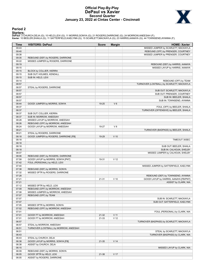# **Official Play-By-Play DePaul vs Xavier Second Quarter January 23, 2022 at Cintas Center - Cincinnati**



## **Period 2**

<mark>Starters :</mark><br>DePaul: 3 CHURCH,DEJA (G); 10 HELD,LEXI (G); 11 MORRIS,SONYA (G); 21 ROGERS,DARRIONE (G); 24 MORROW,ANEESAH (F);<br>**Xavie**r: 10 BEELER,SHAILA (G); 11 SATTERFIELD,KAELYNN (G); 15 SCARLETT,MACKAYLA (G); 23 HARRIS,

| Time           | <b>VISITORS: DePaul</b>                | <b>Score</b> | <b>Margin</b>   | <b>HOME: Xavier</b>                                |
|----------------|----------------------------------------|--------------|-----------------|----------------------------------------------------|
| 09:43          |                                        |              |                 | MISSED JUMPER by SCARLETT, MACKAYLA                |
| 09:40          |                                        |              |                 | REBOUND (OFF) by PRENGER, COURTNEY                 |
| 09:38          |                                        |              |                 | MISSED JUMPER by PRENGER, COURTNEY                 |
| 09:35          | REBOUND (DEF) by ROGERS, DARRIONE      |              |                 |                                                    |
| 09:22          | MISSED JUMPER by ROGERS, DARRIONE      |              |                 |                                                    |
| 09:19          |                                        |              |                 | REBOUND (DEF) by HARRIS, AANAYA                    |
| 09:15          |                                        |              |                 | MISSED LAYUP by HARRIS, AANAYA                     |
| 09:15          | BLOCK by COLLIER, KIERRA               |              |                 |                                                    |
| 09:15          | SUB OUT: HOLMES, KENDALL               |              |                 |                                                    |
| 09:15          | SUB IN: HELD, LEXI                     |              |                 |                                                    |
| 09:14          |                                        |              |                 | REBOUND (OFF) by TEAM                              |
| 08:57          |                                        |              |                 | TURNOVER (LOSTBALL) by SCARLETT, MACKAYLA          |
| 08:57          | STEAL by ROGERS, DARRIONE              |              |                 |                                                    |
| 08:57          |                                        |              |                 | SUB OUT: SCARLETT, MACKAYLA                        |
| 08:57          |                                        |              |                 | SUB OUT: PRENGER, COURTNEY                         |
| 08:57          |                                        |              |                 | SUB IN: BEELER, SHAILA                             |
| 08:57          |                                        |              |                 | SUB IN: TOWNSEND, AYANNA                           |
| 08:44          | GOOD! JUMPER by MORRIS, SONYA          | 19-25        | $V_6$           |                                                    |
| 08:37          |                                        |              |                 | FOUL (OFF) by BEELER, SHAILA                       |
| 08:37          |                                        |              |                 | TURNOVER (OFFENSIVE) by BEELER, SHAILA             |
| 08:37          | SUB OUT: COLLIER, KIERRA               |              |                 |                                                    |
| 08:37          | SUB IN: MORROW, ANEESAH                |              |                 |                                                    |
| 08:28          | MISSED LAYUP by MORROW, ANEESAH        |              |                 |                                                    |
| 08:26          | REBOUND (OFF) by MORROW, ANEESAH       |              |                 |                                                    |
| 08:24          | GOOD! LAYUP by MORROW, ANEESAH         | 19-27        | V8              |                                                    |
| 08:21          |                                        |              |                 | TURNOVER (BADPASS) by BEELER, SHAILA               |
| 08:21          | STEAL by ROGERS, DARRIONE              |              |                 |                                                    |
| 08:18          | GOOD! JUMPER by ROGERS, DARRIONE [FB]  | 19-29        | $V$ 10          |                                                    |
| 08:18          |                                        |              |                 | TIMEOUT 30SEC                                      |
| 08:18          |                                        |              |                 |                                                    |
| 08:18<br>08:18 |                                        |              |                 | SUB OUT: BEELER, SHAILA<br>SUB IN: CALHOUN, SHELBY |
| 08:07          |                                        |              |                 | MISSED JUMPER by CALHOUN, SHELBY                   |
| 08:06          | REBOUND (DEF) by ROGERS, DARRIONE      |              |                 |                                                    |
| 07:58          | GOOD! LAYUP by MORRIS, SONYA [PNT]     | 19-31        | V <sub>12</sub> |                                                    |
| 07:42          | FOUL (PERSONAL) by HELD, LEXI          |              |                 |                                                    |
| 07:40          |                                        |              |                 | MISSED JUMPER by SATTERFIELD, KAELYNN              |
| 07:38          | REBOUND (DEF) by MORRIS, SONYA         |              |                 |                                                    |
| 07:32          | MISSED 3PTR by ROGERS, DARRIONE        |              |                 |                                                    |
| 07:28          |                                        |              |                 | REBOUND (DEF) by TOWNSEND, AYANNA                  |
| 07:21          |                                        | 21-31        | $V$ 10          | GOOD! LAYUP by HARRIS, AANAYA [FB/PNT]             |
| 07:21          |                                        |              |                 | ASSIST by CLARK, NIA                               |
| 07:12          | MISSED 3PTR by HELD, LEXI              |              |                 |                                                    |
| 07:09          | REBOUND (OFF) by MORROW, ANEESAH       |              |                 |                                                    |
| 07:08          | MISSED JUMPER by MORROW, ANEESAH       |              |                 |                                                    |
| 07:07          | REBOUND (OFF) by TEAM                  |              |                 |                                                    |
| 07:07          |                                        |              |                 | SUB IN: SCARLETT, MACKAYLA                         |
| 07:07          |                                        |              |                 | SUB OUT: SATTERFIELD, KAELYNN                      |
| 07:05          | MISSED 3PTR by MORRIS, SONYA           |              |                 |                                                    |
| 07:02          | REBOUND (OFF) by MORROW, ANEESAH       |              |                 |                                                    |
| 07:01          |                                        |              |                 | FOUL (PERSONAL) by CLARK, NIA                      |
| 07:01          | GOOD! FT by MORROW, ANEESAH            | 21-32        | $V$ 11          |                                                    |
| 07:01          | GOOD! FT by MORROW, ANEESAH            | 21-33        | V <sub>12</sub> |                                                    |
| 06:57          |                                        |              |                 | TURNOVER (BADPASS) by SCARLETT, MACKAYLA           |
| 06:57          | STEAL by MORROW, ANEESAH               |              |                 |                                                    |
| 06:51          | TURNOVER (LOSTBALL) by MORROW, ANEESAH |              |                 |                                                    |
| 06:51          |                                        |              |                 | STEAL by SCARLETT, MACKAYLA                        |
| 06:43          |                                        |              |                 | TURNOVER (BADPASS) by CLARK, NIA                   |
| 06:43          | STEAL by CHURCH, DEJA                  |              |                 |                                                    |
| 06:38          | GOOD! LAYUP by MORRIS, SONYA [FB]      | 21-35        | V <sub>14</sub> |                                                    |
| 06:38          | ASSIST by CHURCH, DEJA                 |              |                 |                                                    |
| 06:15          |                                        |              |                 | MISSED LAYUP by CLARK, NIA                         |
| 06:09          | REBOUND (DEF) by MORRIS, SONYA         |              |                 |                                                    |
| 06:05          | GOOD! 3PTR by HELD, LEXI               | 21-38        | V 17            |                                                    |
| 06:05          | ASSIST by ROGERS, DARRIONE             |              |                 |                                                    |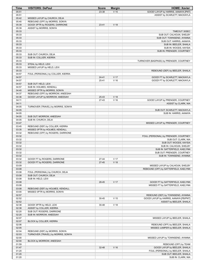| Time           | <b>VISITORS: DePaul</b>                                          | <b>Score</b> | <b>Margin</b>   | <b>HOME: Xavier</b>                                  |
|----------------|------------------------------------------------------------------|--------------|-----------------|------------------------------------------------------|
| 05:51          |                                                                  | 23-38        | V <sub>15</sub> | GOOD! LAYUP by HARRIS, AANAYA [PNT]                  |
| 05:51          |                                                                  |              |                 | ASSIST by SCARLETT, MACKAYLA                         |
| 05:42          | MISSED LAYUP by CHURCH, DEJA                                     |              |                 |                                                      |
| 05:40          | REBOUND (OFF) by MORRIS, SONYA                                   |              |                 |                                                      |
| 05:39          | GOOD! 3PTR by ROGERS, DARRIONE                                   | $23 - 41$    | V <sub>18</sub> |                                                      |
| 05:39          | ASSIST by MORRIS, SONYA                                          |              |                 |                                                      |
| 05:33          |                                                                  |              |                 | TIMEOUT 30SEC                                        |
| 05:33          |                                                                  |              |                 | SUB OUT: CALHOUN, SHELBY                             |
| 05:33<br>05:33 |                                                                  |              |                 | SUB OUT: TOWNSEND, AYANNA<br>SUB OUT: HARRIS, AANAYA |
| 05:33          |                                                                  |              |                 | SUB IN: BEELER, SHAILA                               |
| 05:33          |                                                                  |              |                 | SUB IN: WOODS, KAYSIA                                |
| 05:33          |                                                                  |              |                 | SUB IN: PRENGER, COURTNEY                            |
| 05:33          | SUB OUT: CHURCH, DEJA                                            |              |                 |                                                      |
| 05:33          | SUB IN: COLLIER, KIERRA                                          |              |                 |                                                      |
| 05:33          |                                                                  |              |                 | TURNOVER (BADPASS) by PRENGER, COURTNEY              |
| 05:33          | STEAL by HELD, LEXI                                              |              |                 |                                                      |
| 05:33          | MISSED LAYUP by HELD, LEXI                                       |              |                 |                                                      |
| 05:33          |                                                                  |              |                 | REBOUND (DEF) by BEELER, SHAILA                      |
| 04:57          | FOUL (PERSONAL) by COLLIER, KIERRA                               |              |                 |                                                      |
| 04:57          |                                                                  | $24 - 41$    | V 17            | GOOD! FT by SCARLETT, MACKAYLA                       |
| 04:57          |                                                                  | $25 - 41$    | V <sub>16</sub> | GOOD! FT by SCARLETT, MACKAYLA                       |
| 04:57          | SUB OUT: HELD, LEXI                                              |              |                 |                                                      |
| 04:57          | SUB IN: HOLMES, KENDALL                                          |              |                 |                                                      |
| 04:40          | MISSED 3PTR by MORRIS, SONYA                                     |              |                 |                                                      |
| 04:37          | REBOUND (OFF) by MORROW, ANEESAH                                 |              |                 |                                                      |
| 04:36          | GOOD! LAYUP by MORROW, ANEESAH                                   | 25-43        | V <sub>18</sub> |                                                      |
| 04:11          |                                                                  | $27-43$      | V <sub>16</sub> | GOOD! LAYUP by PRENGER, COURTNEY                     |
| 04:11          |                                                                  |              |                 | ASSIST by CLARK, NIA                                 |
| 04:05          | TURNOVER (TRAVEL) by MORRIS, SONYA                               |              |                 |                                                      |
| 04:05          |                                                                  |              |                 | SUB OUT: SCARLETT, MACKAYLA                          |
| 04:05          |                                                                  |              |                 | SUB IN: HARRIS, AANAYA                               |
| 04:05          | SUB OUT: MORROW, ANEESAH                                         |              |                 |                                                      |
| 04:05<br>03:47 | SUB IN: CHURCH, DEJA                                             |              |                 | MISSED LAYUP by PRENGER, COURTNEY                    |
| 03:45          | REBOUND (DEF) by COLLIER, KIERRA                                 |              |                 |                                                      |
| 03:35          | MISSED 3PTR by HOLMES, KENDALL                                   |              |                 |                                                      |
| 03:32          | REBOUND (OFF) by ROGERS, DARRIONE                                |              |                 |                                                      |
| 03:32          |                                                                  |              |                 | FOUL (PERSONAL) by PRENGER, COURTNEY                 |
| 03:32          |                                                                  |              |                 | SUB OUT: CLARK, NIA                                  |
| 03:32          |                                                                  |              |                 | SUB OUT: WOODS, KAYSIA                               |
| 03:32          |                                                                  |              |                 | SUB IN: CALHOUN, SHELBY                              |
| 03:32          |                                                                  |              |                 | SUB IN: SATTERFIELD, KAELYNN                         |
| 03:32          |                                                                  |              |                 | SUB OUT: PRENGER, COURTNEY                           |
| 03:32          |                                                                  |              |                 | SUB IN: TOWNSEND, AYANNA                             |
| 03:32          | GOOD! FT by ROGERS, DARRIONE                                     | 27-44        | V 17            |                                                      |
| 03:32          | GOOD! FT by ROGERS, DARRIONE                                     | $27 - 45$    | $V$ 18          |                                                      |
| 03:09          |                                                                  |              |                 | MISSED LAYUP by CALHOUN, SHELBY                      |
| 03:08          |                                                                  |              |                 | REBOUND (OFF) by SATTERFIELD, KAELYNN                |
| 03:08          | FOUL (PERSONAL) by CHURCH, DEJA                                  |              |                 |                                                      |
| 03:08          | SUB OUT: CHURCH, DEJA                                            |              |                 |                                                      |
| 03:08          | SUB IN: HELD, LEXI                                               |              |                 |                                                      |
| 03:08          |                                                                  | 28-45        | V 17            | GOOD! FT by SATTERFIELD, KAELYNN                     |
| 03:08          |                                                                  |              |                 | MISSED FT by SATTERFIELD, KAELYNN                    |
| 03:08          | REBOUND (DEF) by HOLMES, KENDALL<br>MISSED 3PTR by MORRIS, SONYA |              |                 |                                                      |
| 03:00<br>02:57 |                                                                  |              |                 | REBOUND (DEF) by TOWNSEND, AYANNA                    |
| 02:52          |                                                                  | $30 - 45$    | V <sub>15</sub> | GOOD! LAYUP by HARRIS, AANAYA [FB/PNT]               |
| 02:52          |                                                                  |              |                 | ASSIST by BEELER, SHAILA                             |
| 02:38          | GOOD! 3PTR by HELD, LEXI                                         | 30-48        | V <sub>18</sub> |                                                      |
| 02:38          | ASSIST by COLLIER, KIERRA                                        |              |                 |                                                      |
| 02:20          | SUB OUT: ROGERS, DARRIONE                                        |              |                 |                                                      |
| 02:20          | SUB IN: MORROW, ANEESAH                                          |              |                 |                                                      |
| 02:07          |                                                                  |              |                 | MISSED LAYUP by BEELER, SHAILA                       |
| 02:07          | BLOCK by COLLIER, KIERRA                                         |              |                 |                                                      |
| 02:06          |                                                                  |              |                 | REBOUND (OFF) by BEELER, SHAILA                      |
| 02:05          |                                                                  |              |                 | MISSED JUMPER by BEELER, SHAILA                      |
| 02:04          | REBOUND (DEF) by MORRIS, SONYA                                   |              |                 |                                                      |
| 02:03          | TURNOVER (TRAVEL) by MORRIS, SONYA                               |              |                 |                                                      |
| 02:00          |                                                                  |              |                 | MISSED LAYUP by TOWNSEND, AYANNA                     |
| 02:00          | BLOCK by MORROW, ANEESAH                                         |              |                 |                                                      |
| 01:59          |                                                                  |              |                 | REBOUND (OFF) by TEAM                                |
| 01:47          |                                                                  | 32-48        | $V$ 16          | GOOD! LAYUP by BEELER, SHAILA                        |
| 01:20          |                                                                  |              |                 | FOUL (PERSONAL) by BEELER, SHAILA                    |
| 01:20          |                                                                  |              |                 | SUB OUT: BEELER, SHAILA                              |
| 01:20          |                                                                  |              |                 | SUB IN: CLARK, NIA                                   |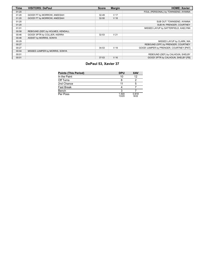| <b>Time</b> | <b>VISITORS: DePaul</b>          | <b>Score</b> | <b>Margin</b>   | <b>HOME: Xavier</b>                     |
|-------------|----------------------------------|--------------|-----------------|-----------------------------------------|
| 01:20       |                                  |              |                 | FOUL (PERSONAL) by TOWNSEND, AYANNA     |
| 01:20       | GOOD! FT by MORROW, ANEESAH      | 32-49        | V <sub>17</sub> |                                         |
| 01:20       | GOOD! FT by MORROW, ANEESAH      | $32 - 50$    | V 18            |                                         |
| 01:20       |                                  |              |                 | SUB OUT: TOWNSEND, AYANNA               |
| 01:20       |                                  |              |                 | SUB IN: PRENGER, COURTNEY               |
| 01:01       |                                  |              |                 | MISSED LAYUP by SATTERFIELD, KAELYNN    |
| 00:58       | REBOUND (DEF) by HOLMES, KENDALL |              |                 |                                         |
| 00:46       | GOOD! 3PTR by COLLIER, KIERRA    | $32 - 53$    | V <sub>21</sub> |                                         |
| 00:46       | ASSIST by MORRIS, SONYA          |              |                 |                                         |
| 00:29       |                                  |              |                 | MISSED LAYUP by CLARK, NIA              |
| 00:27       |                                  |              |                 | REBOUND (OFF) by PRENGER, COURTNEY      |
| 00:27       |                                  | $34 - 53$    | V <sub>19</sub> | GOOD! JUMPER by PRENGER, COURTNEY [PNT] |
| 00:04       | MISSED JUMPER by MORRIS, SONYA   |              |                 |                                         |
| 00:01       |                                  |              |                 | REBOUND (DEF) by CALHOUN, SHELBY        |
| 00:01       |                                  | $37 - 53$    | V <sub>16</sub> | GOOD! 3PTR by CALHOUN, SHELBY [FB]      |

# **DePaul 53, Xavier 37**

| <b>Points (This Period)</b> | <b>DPU</b>     | <b>XAV</b>    |
|-----------------------------|----------------|---------------|
| In the Paint                | 10             | 12            |
| Off Turns                   |                |               |
| 2nd Chance                  | 11             |               |
| <b>Fast Break</b>           |                |               |
| Bench                       |                |               |
| Per Poss                    | 1.500<br>13/20 | 0.818<br>9/22 |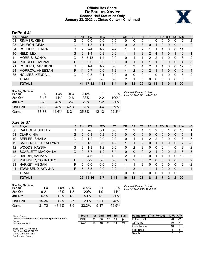# **Official Box Score DePaul vs Xavier Second Half Statistics Only January 23, 2022 at Cintas Center - Cincinnati**



# **DePaul 41**

| No. | Plaver                 | S  | <b>Pts</b>    | <b>FG</b> | 3FG      | <b>FT</b> | <b>OR</b> | <b>DR</b> | TR             | PF            | A        | TO | <b>B</b> lk  | Stl | Min            | $+/-$          |
|-----|------------------------|----|---------------|-----------|----------|-----------|-----------|-----------|----------------|---------------|----------|----|--------------|-----|----------------|----------------|
| 01  | RIMMER, KEKE           | G  | 0             | $0-0$     | $0 - 0$  | $0 - 0$   | 0         | 0         | 0              |               | 0        | 0  | 0            | 0   | 2              | 2              |
| 03  | CHURCH, DEJA           | G  | 3             | $1 - 3$   | $1 - 1$  | $0 - 0$   | 0         | 3         | 3              | 0             |          | 0  | $\Omega$     | 0   | 11             | 2              |
| 04  | <b>COLLIER, KIERRA</b> | G  |               | $2 - 4$   | $1 - 2$  | $2 - 2$   |           | 1         | 2              |               |          |    | 0            | 0   | 14             | 5              |
| 10  | HELD, LEXI             | G  | $\mathcal{P}$ | $1 - 4$   | $0 - 3$  | $0 - 0$   |           |           | $\overline{2}$ | $\mathcal{P}$ | 4        |    | 0            | 1   | 16             | 1              |
| 11  | <b>MORRIS, SONYA</b>   | G  | 15            | $7 - 13$  | $1 - 4$  | $0 - 0$   | 0         |           |                | 2             | 2        |    | 0            | 0   | 18             | 2              |
| 14  | PURCELL, HANNAH        | F. | 0             | $0 - 0$   | $0 - 0$  | $0 - 0$   | 0         |           |                |               |          | 0  | $\mathbf{0}$ | 0   | $\overline{4}$ | -3             |
| 21  | ROGERS, DARRIONE       | G  | 3             | $1 - 4$   | $1-2$    | $0 - 0$   |           | 3         | 4              | 2             |          |    | 0            | 0   | 17             | 3              |
| 24  | MORROW, ANEESAH        | F. | 11            | $5 - 7$   | $0 - 0$  | $1 - 2$   | 4         | 2         | 6              | 2             |          | 1  | $\Omega$     | 0   | 15             | $\overline{4}$ |
| 35  | <b>HOLMES, KENDALL</b> | G  | 0             | $0 - 3$   | $0 - 1$  | $0 - 0$   | 0         | 0         | 0              | 1             | 0        |    | 0            | 0   | 5              | $-2$           |
|     | <b>TEAM</b>            |    | 0             | $0 - 0$   | $0 - 0$  | $0 - 0$   | 2         | 1         | 3              | 0             | $\Omega$ | 0  | $\Omega$     | 0   | $\mathbf 0$    |                |
|     | <b>TOTALS</b>          |    | 41            | 17-38     | $4 - 13$ | $3 - 4$   | 9         | 13        | 22             | 12            | 11       | 6  | 0            |     | 100            |                |

| <b>Shooting By Period</b><br>Period | FG        | FG%   | 3FG      | 3FG%  | FT        | FT%   | Deadball Rebounds: 0.0<br>Last FG Half: DPU 4th-01:06 |
|-------------------------------------|-----------|-------|----------|-------|-----------|-------|-------------------------------------------------------|
| 3rd Qtr                             | 8-18      | 44%   | $2-6$    | 33%   | $2 - 2$   | 100%  |                                                       |
| 4th Qtr                             | $9 - 20$  | 45%   | $2 - 7$  | 29%   | $1 - 2$   | 50%   |                                                       |
| 2nd Half                            | 17-38     | 45%   | $4 - 13$ | 31%   | 3-4       | 75%   |                                                       |
| Game                                | $37 - 83$ | 44.6% | $8 - 31$ | 25.8% | $12 - 13$ | 92.3% |                                                       |

# **Xavier 37**

| No. | Player                    | S  | <b>Pts</b>    | <b>FG</b> | 3FG     | <b>FT</b> | <b>OR</b> | <b>DR</b> | TR            | PF            | A        | TO            | <b>Blk</b> | Stl      | Min            | $+/-$          |
|-----|---------------------------|----|---------------|-----------|---------|-----------|-----------|-----------|---------------|---------------|----------|---------------|------------|----------|----------------|----------------|
| 00  | CALHOUN, SHELBY           | G  | 4             | $2-6$     | 0-1     | $0 - 0$   | 2         | 2         | 4             |               | 2        | 0             |            | 0        | 13             |                |
| 01  | CLARK, NIA                | G  | $\Omega$      | $0 - 3$   | $0 - 2$ | $0 - 0$   | 0         | 0         | 0             | 0             | 0        | 0             | 0          | 0        | 15             | 1              |
| 10  | <b>BEELER, SHAILA</b>     | G  | $\mathcal{P}$ | $1 - 2$   | $0 - 0$ | $0 - 0$   | 0         | 1         |               | 2             | 2        | 0             | 0          | 0        | 8              | $-7$           |
| 11  | SATTERFIELD, KAELYNN      | G  | 3             | $1 - 2$   | $0 - 0$ | $1 - 2$   |           |           | 2             | $\Omega$      |          |               | 0          | 0        | 7              | -8             |
| 12  | WOODS, KAYSIA             | G  | 3             | $1 - 3$   | $1 - 2$ | $0 - 0$   | 0         | 2         | 2             | $\Omega$      | 0        | 0             |            | $\Omega$ | 9              | $\overline{2}$ |
| 15  | <b>SCARLETT, MACKAYLA</b> | G  | 10            | $3 - 7$   | $1 - 2$ | $3-4$     | 0         | 0         | 0             | $\mathcal{P}$ |          | $\mathcal{P}$ | 0          | 2        | 16             | $-3$           |
| 23  | HARRIS, AANAYA            | G  | 9             | $4-6$     | $0 - 0$ | 1-3       | 2         | 1         | 3             | 0             |          |               | 0          | 0        | 13             | $-2$           |
| 30  | PRENGER, COURTNEY         | F. | 0             | $0 - 2$   | $0 - 0$ | $0 - 0$   | 3         | 2         | 5             | $\mathcal{P}$ | $\Omega$ | $\Omega$      | $\Omega$   | 0        | 3              | 2              |
| 31  | <b>HARKEY, MEGAN</b>      | F  | 0             | $0 - 0$   | $0 - 0$ | $0 - 0$   |           | 1         | $\mathcal{P}$ | 0             | 0        | 0             | ∩          | 0        | $\overline{2}$ | $-2$           |
| 44  | TOWNSEND, AYANNA          | F. | 6             | $3 - 5$   | $0 - 0$ | $0 - 2$   |           | 3         | 4             |               |          | 2             | 0          | 0        | 14             | $-4$           |
|     | <b>TEAM</b>               |    | 0             | $0 - 0$   | $0 - 0$ | $0 - 0$   | 0         | 0         | 0             | 0             | 0        |               | 0          | 0        | $\mathbf 0$    |                |
|     | <b>TOTALS</b>             |    | 37            | 15-36     | $2 - 7$ | $5 - 11$  | 10        | 13        | 23            | 8             | 8        |               |            | 2        | 100            |                |

| <b>Shooting By Period</b><br>Period | FG        | FG%   | 3FG     | 3FG%       | FT       | FT%   |
|-------------------------------------|-----------|-------|---------|------------|----------|-------|
| 3rd Qtr                             | $9 - 21$  | 43%   | 1-5     | <b>20%</b> | 4-9      | 44%   |
| 4th Otr                             | $6 - 15$  | 40%   | $1 - 2$ | 50%        | $1 - 2$  | 50%   |
| 2nd Half                            | 15-36     | 42%   | $2 - 7$ | 29%        | $5 - 11$ | 45%   |
| Game                                | $31 - 72$ | 43.1% | 3-9     | 33.3%      | $9 - 17$ | 52.9% |

*Deadball Rebounds:* 4,0 *Last FG Half:* XAV 4th-00:22

| Game Notes:                                                   | <b>Score</b> | 1st | 2nd | 3rd | 4th | <b>TOT</b> | <b>Points from (This Period)</b> | DPU XAV |    |
|---------------------------------------------------------------|--------------|-----|-----|-----|-----|------------|----------------------------------|---------|----|
| Officials: David Rafalski, Krystle Apellaniz, Alexis<br>Perez | DPU          | 23  | 30  | 20  | 21  | 94         | In the Paint                     | 20      | 22 |
| Attendance: 647                                               | XAV          | 19  | 18  | 23  | 14  | 74         | Off Turns                        | 10      |    |
|                                                               |              |     |     |     |     |            | 2nd Chance                       |         |    |
| Start Time: 02:10 PM ET<br>End Time: 04:08 PM ET              |              |     |     |     |     |            | Fast Break                       |         |    |
| Game Duration: 1:58<br>Conference Game;                       |              |     |     |     |     |            | Bench                            |         |    |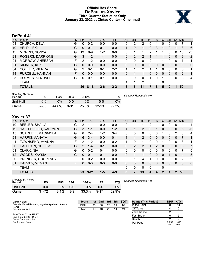# **Official Box Score DePaul vs Xavier Third Quarter Statistics Only January 23, 2022 at Cintas Center - Cincinnati**



# **DePaul 41**

| No. | Plaver                 | S | Pts | <b>FG</b> | 3FG     | <b>FT</b> | <b>OR</b> | <b>DR</b> | TR | PF | A        | TO       | <b>Blk</b> | Stl            | Min            | $+/-$        |
|-----|------------------------|---|-----|-----------|---------|-----------|-----------|-----------|----|----|----------|----------|------------|----------------|----------------|--------------|
| 03  | CHURCH, DEJA           | G | 0   | $0 - 2$   | $0-0$   | $0-0$     | 0         | 2         | 2  | 0  |          | 0        | 0          | 0              |                | $-1$         |
| 10  | HELD, LEXI             | G | 0   | $0 - 1$   | $0 - 1$ | $0 - 0$   |           | $\Omega$  | 1  | 0  | 3        |          | 0          |                | 8              | -6           |
| 11  | <b>MORRIS, SONYA</b>   | G | 13  | $6-9$     | $1 - 2$ | $0 - 0$   | $\Omega$  |           | 1  | 2  |          |          | 0          | 0              | 10             | -3           |
| 21  | ROGERS, DARRIONE       | G | 3   | $1 - 2$   | $1 - 1$ | $0 - 0$   | $\Omega$  | 2         | 2  |    |          |          | 0          | 0              | 9              | $-2$         |
| 24  | MORROW, ANEESAH        | F | 2   | $1 - 2$   | $0 - 0$ | $0 - 0$   | 0         | 0         | 0  | 2  |          |          | 0          | 0              |                | -1           |
| 01  | RIMMER, KEKE           | G | 0   | $0 - 0$   | $0 - 0$ | $0 - 0$   | 0         | 0         | 0  | 0  | 0        | 0        | 0          | $\overline{0}$ | 0              | $\mathbf{0}$ |
| 04  | <b>COLLIER, KIERRA</b> | G | 2   | $0 - 1$   | $0 - 1$ | $2 - 2$   |           |           | 2  |    |          | 0        | 0          | 0              | 6              | 1            |
| 14  | PURCELL, HANNAH        | F | 0   | $0 - 0$   | $0 - 0$ | $0 - 0$   | 0         |           |    | 0  | 0        | $\Omega$ | 0          | $\Omega$       | $\overline{2}$ | $\mathbf{1}$ |
| 35  | HOLMES, KENDALL        | G | 0   | $0 - 1$   | $0 - 1$ | $0 - 0$   | 0         | 0         | 0  |    | $\Omega$ |          | 0          | $\Omega$       | 3              | $-4$         |
|     | TEAM                   |   |     |           |         |           |           |           | 2  | 0  |          | 0        |            |                |                |              |
|     | <b>TOTALS</b>          |   | 20  | $8 - 18$  | $2 - 6$ | $2 - 2$   | 3         | 8         | 11 | 7  | 8        | 5        | 0          |                | 50             |              |

| <b>Shooting By Period</b><br>Period | FG        | FG%   | 3FG      | 3FG%  |           | FT%   | Deadball Rebounds: 0,0 |
|-------------------------------------|-----------|-------|----------|-------|-----------|-------|------------------------|
| 2nd Half                            | 0-0       | 0%    | 0-0      | $0\%$ | ი-ი       | 0%    |                        |
| Game                                | $37 - 83$ | 44.6% | $8 - 31$ | 25.8% | $12 - 13$ | 92.3% |                        |

# **Xavier 37**

| No. | Plaver                | S | <b>Pts</b> | <b>FG</b> | 3FG     | <b>FT</b> | 0R | <b>DR</b> | TR            | <b>PF</b>              | A        | TO           | <b>Blk</b> | Stl      | Min          | $+/-$ |
|-----|-----------------------|---|------------|-----------|---------|-----------|----|-----------|---------------|------------------------|----------|--------------|------------|----------|--------------|-------|
| 10  | <b>BEELER, SHAILA</b> | G | 2          | 1-1       | $0 - 0$ | $0 - 0$   | 0  |           |               | 2                      |          | 0            | 0          | 0        | 4            | $-4$  |
| 11  | SATTERFIELD, KAELYNN  | G | 3          | $1 - 1$   | $0 - 0$ | $1 - 2$   |    |           | 2             | 0                      |          | 0            | 0          | 0        | 5            | -6    |
| 15  | SCARLETT, MACKAYLA    | G | 8          | $2 - 4$   | $1 - 2$ | $3 - 4$   | 0  | 0         | 0             | 0                      | 0        |              | 0          | 2        | 8            | 4     |
| 23  | HARRIS, AANAYA        | G | 6          | $3 - 4$   | $0 - 0$ | $0 - 1$   |    |           | $\mathcal{P}$ | $\Omega$               | $\Omega$ | 0            | 0          | 0        |              | 1     |
| 44  | TOWNSEND, AYANNA      | F | 2          | $1 - 2$   | $0 - 0$ | $0 - 2$   |    | $\Omega$  |               | 0                      | 0        |              | 0          | 0        | 8            | 1     |
| 00  | CALHOUN, SHELBY       | G | 2          | $1 - 4$   | $0 - 1$ | $0 - 0$   | 0  | 2         | 2             |                        | 2        | 0            | 0          | 0        | 6            | 7     |
| 01  | CLARK, NIA            | G | 0          | $0 - 2$   | $0 - 1$ | $0 - 0$   | 0  | $\Omega$  | 0             | 0                      | 0        | 0            | 0          | 0        | 7            | 5     |
| 12  | WOODS, KAYSIA         | G | 0          | $0 - 1$   | $0 - 1$ | $0 - 0$   | 0  |           | 1             | $\Omega$               | $\Omega$ | 0            | 1          | $\Omega$ | 4            | 5     |
| 30  | PRENGER, COURTNEY     | F | 0          | $0 - 2$   | $0 - 0$ | $0 - 0$   | 3  |           | 4             |                        | 0        | 0            | 0          | 0        | 2            | 2     |
| 31  | HARKEY, MEGAN         | F | 0          | $0 - 0$   | $0 - 0$ | $0 - 0$   | 0  | 0         | 0             | $\Omega$               | $\Omega$ | $\mathbf{0}$ | 0          | $\Omega$ | $\mathbf{0}$ | 0     |
|     | <b>TEAM</b>           |   |            |           |         |           | 0  | 0         | 0             | 0                      |          | 0            |            |          |              |       |
|     | <b>TOTALS</b>         |   | 23         | $9 - 21$  | $1 - 5$ | $4 - 9$   | 6  |           | 13            | $\boldsymbol{\Lambda}$ | 4        | 2            |            | 2        | 50           |       |
|     |                       |   |            |           |         |           |    |           |               |                        |          |              |            |          |              |       |

| <b>Shooting By Period</b><br>Period | FG        | FG%   | 3FG     | 3FG%  |          | FT%   | Deadball I |
|-------------------------------------|-----------|-------|---------|-------|----------|-------|------------|
| 2nd Half                            | 0-0       | 0%    | $0 - 0$ | 0%    | 0-0      | 0%    |            |
| Game                                | $31 - 72$ | 43.1% | $3-9$   | 33.3% | $9 - 17$ | 52.9% |            |

*Deadball Rebounds:* 4,0

| Game Notes:                                                   | <b>Score</b> | 1st | 2 <sub>nd</sub> | 3rd | 4th | <b>TOT</b> | <b>Points (This Period)</b> | <b>DPU</b>    | <b>XAV</b>     |
|---------------------------------------------------------------|--------------|-----|-----------------|-----|-----|------------|-----------------------------|---------------|----------------|
| Officials: David Rafalski, Krystle Apellaniz, Alexis<br>Perez | DPU          | 23  | 30              | 20  |     | 94         | In the Paint                |               |                |
| Attendance: 647                                               | XAV          | 19  | 18              | 23  | 14  | 74         | Off Turns                   |               |                |
|                                                               |              |     |                 |     |     |            | 2nd Chance                  |               |                |
| Start Time: 02:10 PM ET<br>End Time: 04:08 PM ET              |              |     |                 |     |     |            | <b>Fast Break</b>           |               |                |
| Game Duration: 1:58                                           |              |     |                 |     |     |            | Bench                       |               |                |
| Conference Game;                                              |              |     |                 |     |     |            | Per Poss                    | 0.952<br>9/21 | 1.095<br>11/21 |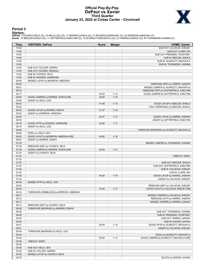# **Official Play-By-Play DePaul vs Xavier Third Quarter January 23, 2022 at Cintas Center - Cincinnati**



### **Period 3**

<mark>Starters :</mark><br>DePaul: 3 CHURCH,DEJA (G); 10 HELD,LEXI (G); 11 MORRIS,SONYA (G); 21 ROGERS,DARRIONE (G); 24 MORROW,ANEESAH (F);<br>**Xavie**r: 10 BEELER,SHAILA (G); 11 SATTERFIELD,KAELYNN (G); 15 SCARLETT,MACKAYLA (G); 23 HARRIS,

| Time           | <b>VISITORS: DePaul</b>                                     | <b>Score</b> | <b>Margin</b>   | <b>HOME: Xavier</b>                                                     |
|----------------|-------------------------------------------------------------|--------------|-----------------|-------------------------------------------------------------------------|
| 10:00          |                                                             |              |                 | SUB OUT: CALHOUN, SHELBY                                                |
| 10:00          |                                                             |              |                 | SUB OUT: CLARK, NIA                                                     |
| 10:00          |                                                             |              |                 | SUB OUT: PRENGER, COURTNEY                                              |
| 10:00          |                                                             |              |                 | SUB IN: BEELER, SHAILA                                                  |
| 10:00          |                                                             |              |                 | SUB IN: SCARLETT, MACKAYLA                                              |
| 10:00          |                                                             |              |                 | SUB IN: TOWNSEND, AYANNA                                                |
| 10:00          | SUB OUT: COLLIER, KIERRA                                    |              |                 |                                                                         |
| 10:00          | SUB OUT: HOLMES, KENDALL                                    |              |                 |                                                                         |
| 10:00<br>10:00 | SUB IN: CHURCH, DEJA                                        |              |                 |                                                                         |
| 09:46          | SUB IN: ROGERS, DARRIONE<br>MISSED LAYUP by MORROW, ANEESAH |              |                 |                                                                         |
| 09:44          |                                                             |              |                 | REBOUND (DEF) by HARRIS, AANAYA                                         |
| 09:21          |                                                             |              |                 | MISSED JUMPER by SCARLETT, MACKAYLA                                     |
| 09:18          |                                                             |              |                 | REBOUND (OFF) by SATTERFIELD, KAELYNN                                   |
| 09:17          |                                                             | 39-53        | V <sub>14</sub> | GOOD! JUMPER by SATTERFIELD, KAELYNN                                    |
| 09:09          | GOOD! JUMPER by MORRIS, SONYA [FB]                          | 39-55        | $V$ 16          |                                                                         |
| 09:09          | ASSIST by HELD, LEXI                                        |              |                 |                                                                         |
| 08:47          |                                                             | 41-55        | V <sub>14</sub> | GOOD! LAYUP by BEELER, SHAILA                                           |
| 08:42          |                                                             |              |                 | FOUL (PERSONAL) by BEELER, SHAILA                                       |
| 08:35          | GOOD! LAYUP by MORRIS, SONYA                                | 41-57        | V <sub>16</sub> |                                                                         |
| 08:35          | ASSIST by MORROW, ANEESAH                                   |              |                 |                                                                         |
| 08:25          |                                                             | 43-57        | V <sub>14</sub> | GOOD! LAYUP by HARRIS, AANAYA                                           |
| 08:25          |                                                             |              |                 | ASSIST by SATTERFIELD, KAELYNN                                          |
| 08:16          | GOOD! 3PTR by ROGERS, DARRIONE                              | 43-60        | V <sub>17</sub> |                                                                         |
| 08:16          | ASSIST by HELD, LEXI                                        |              |                 |                                                                         |
| 08:06<br>08:06 |                                                             |              |                 | TURNOVER (BADPASS) by SCARLETT, MACKAYLA                                |
| 08:00          | STEAL by HELD, LEXI<br>GOOD! LAYUP by MORROW, ANEESAH [FB]  | 43-62        | $V$ 19          |                                                                         |
| 08:00          | ASSIST by MORRIS, SONYA                                     |              |                 |                                                                         |
| 07:33          |                                                             |              |                 | MISSED JUMPER by TOWNSEND, AYANNA                                       |
| 07:29          | REBOUND (DEF) by CHURCH, DEJA                               |              |                 |                                                                         |
| 07:25          | GOOD! JUMPER by MORRIS, SONYA [FB]                          | 43-64        | V <sub>21</sub> |                                                                         |
| 07:25          | ASSIST by CHURCH, DEJA                                      |              |                 |                                                                         |
| 07:22          |                                                             |              |                 | TIMEOUT 30SEC                                                           |
| 07:22          |                                                             |              |                 |                                                                         |
| 07:22          |                                                             |              |                 | SUB OUT: BEELER, SHAILA                                                 |
| 07:22          |                                                             |              |                 | SUB OUT: SATTERFIELD, KAELYNN                                           |
| 07:22          |                                                             |              |                 | SUB IN: CALHOUN, SHELBY                                                 |
| 07:22          |                                                             |              |                 | SUB IN: CLARK, NIA                                                      |
| 07:04          |                                                             | 45-64        | $V$ 19          | GOOD! LAYUP by HARRIS, AANAYA                                           |
| 07:04          |                                                             |              |                 | ASSIST by CALHOUN, SHELBY                                               |
| 06:48          | MISSED 3PTR by HELD, LEXI                                   |              |                 |                                                                         |
| 06:45<br>06:40 |                                                             | 47-64        | V <sub>17</sub> | REBOUND (DEF) by CALHOUN, SHELBY<br>GOOD! LAYUP by CALHOUN, SHELBY [FB] |
| 06:34          | TURNOVER (DRIBBLING) by MORROW, ANEESAH                     |              |                 |                                                                         |
| 06:21          |                                                             |              |                 | MISSED JUMPER by CALHOUN, SHELBY                                        |
| 06:18          |                                                             |              |                 | REBOUND (OFF) by HARRIS, AANAYA                                         |
| 06:17          |                                                             |              |                 | MISSED JUMPER by HARRIS, AANAYA                                         |
| 06:14          | REBOUND (DEF) by CHURCH, DEJA                               |              |                 |                                                                         |
| 06:09          | TURNOVER (BADPASS) by MORRIS, SONYA                         |              |                 |                                                                         |
| 06:09          |                                                             |              |                 | SUB OUT: TOWNSEND, AYANNA                                               |
| 06:09          |                                                             |              |                 | SUB IN: PRENGER, COURTNEY                                               |
| 06:09          |                                                             |              |                 | SUB OUT: HARRIS, AANAYA                                                 |
| 06:09          |                                                             |              |                 | SUB IN: WOODS, KAYSIA                                                   |
| 05:51          |                                                             | 50-64        | V <sub>14</sub> | GOOD! 3PTR by SCARLETT, MACKAYLA                                        |
| 05:51          |                                                             |              |                 | ASSIST by CALHOUN, SHELBY                                               |
| 05:44          | TURNOVER (BADPASS) by HELD, LEXI                            |              |                 |                                                                         |
| 05:44          |                                                             |              |                 | STEAL by SCARLETT, MACKAYLA                                             |
| 05:40          |                                                             | 52-64        | V <sub>12</sub> | GOOD! JUMPER by SCARLETT, MACKAYLA [FB]                                 |
| 05:38<br>05:38 | TIMEOUT 30SEC                                               |              |                 |                                                                         |
| 05:38          | SUB OUT: HELD, LEXI                                         |              |                 |                                                                         |
| 05:38          | SUB IN: COLLIER, KIERRA                                     |              |                 |                                                                         |
| 05:30          | MISSED LAYUP by CHURCH, DEJA                                |              |                 |                                                                         |
| 05:30          |                                                             |              |                 | BLOCK by WOODS, KAYSIA                                                  |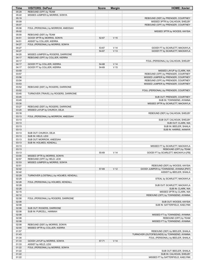| Time           | <b>VISITORS: DePaul</b>                | <b>Score</b> | <b>Margin</b>   | <b>HOME: Xavier</b>                                                             |
|----------------|----------------------------------------|--------------|-----------------|---------------------------------------------------------------------------------|
| 05:29          | REBOUND (OFF) by TEAM                  |              |                 |                                                                                 |
| 05:22          | MISSED JUMPER by MORRIS, SONYA         |              |                 |                                                                                 |
| 05:19          |                                        |              |                 | REBOUND (DEF) by PRENGER, COURTNEY                                              |
| 05:09          |                                        |              |                 | MISSED 3PTR by CALHOUN, SHELBY                                                  |
| 05:07<br>05:06 | FOUL (PERSONAL) by MORROW, ANEESAH     |              |                 | REBOUND (OFF) by PRENGER, COURTNEY                                              |
| 05:02          |                                        |              |                 | MISSED 3PTR by WOODS, KAYSIA                                                    |
| 05:00          | REBOUND (DEF) by TEAM                  |              |                 |                                                                                 |
| 04:51          | GOOD! 3PTR by MORRIS, SONYA            | 52-67        | V <sub>15</sub> |                                                                                 |
| 04:51          | ASSIST by COLLIER, KIERRA              |              |                 |                                                                                 |
| 04:27          | FOUL (PERSONAL) by MORRIS, SONYA       |              |                 |                                                                                 |
| 04:27          |                                        | 53-67        | V <sub>14</sub> | GOOD! FT by SCARLETT, MACKAYLA                                                  |
| 04:27          |                                        | 54-67        | V <sub>13</sub> | GOOD! FT by SCARLETT, MACKAYLA                                                  |
| 04:20          | MISSED JUMPER by ROGERS, DARRIONE      |              |                 |                                                                                 |
| 04:17<br>04:17 | REBOUND (OFF) by COLLIER, KIERRA       |              |                 |                                                                                 |
| 04:17          | GOOD! FT by COLLIER, KIERRA            | 54-68        | V <sub>14</sub> | FOUL (PERSONAL) by CALHOUN, SHELBY                                              |
| 04:17          | GOOD! FT by COLLIER, KIERRA            | 54-69        | V <sub>15</sub> |                                                                                 |
| 03:59          |                                        |              |                 | MISSED LAYUP by CLARK, NIA                                                      |
| 03:57          |                                        |              |                 | REBOUND (OFF) by PRENGER, COURTNEY                                              |
| 03:56          |                                        |              |                 | MISSED JUMPER by PRENGER, COURTNEY                                              |
| 03:54          |                                        |              |                 | REBOUND (OFF) by PRENGER, COURTNEY                                              |
| 03:53          |                                        |              |                 | MISSED JUMPER by PRENGER, COURTNEY                                              |
| 03:52          | REBOUND (DEF) by ROGERS, DARRIONE      |              |                 |                                                                                 |
| 03:52          |                                        |              |                 | FOUL (PERSONAL) by PRENGER, COURTNEY                                            |
| 03:45<br>03:45 | TURNOVER (TRAVEL) by ROGERS, DARRIONE  |              |                 |                                                                                 |
| 03:45          |                                        |              |                 | SUB OUT: PRENGER, COURTNEY<br>SUB IN: TOWNSEND, AYANNA                          |
| 03:30          |                                        |              |                 | MISSED 3PTR by SCARLETT, MACKAYLA                                               |
| 03:27          | REBOUND (DEF) by ROGERS, DARRIONE      |              |                 |                                                                                 |
| 03:20          | MISSED LAYUP by CHURCH, DEJA           |              |                 |                                                                                 |
| 03:18          |                                        |              |                 | REBOUND (DEF) by CALHOUN, SHELBY                                                |
| 03:13          | FOUL (PERSONAL) by MORROW, ANEESAH     |              |                 |                                                                                 |
| 03:13          |                                        |              |                 | SUB OUT: CALHOUN, SHELBY                                                        |
| 03:13          |                                        |              |                 | SUB OUT: CLARK, NIA                                                             |
| 03:13          |                                        |              |                 | SUB IN: BEELER, SHAILA                                                          |
| 03:13<br>03:13 | SUB OUT: CHURCH, DEJA                  |              |                 | SUB IN: HARRIS, AANAYA                                                          |
| 03:13          | SUB IN: HELD, LEXI                     |              |                 |                                                                                 |
| 03:13          | SUB OUT: MORROW, ANEESAH               |              |                 |                                                                                 |
| 03:13          | SUB IN: HOLMES, KENDALL                |              |                 |                                                                                 |
| 03:13          |                                        |              |                 | MISSED FT by SCARLETT, MACKAYLA                                                 |
| 03:13          |                                        |              |                 | REBOUND (OFF) by TEAM                                                           |
| 03:13          |                                        | 55-69        | V <sub>14</sub> | GOOD! FT by SCARLETT, MACKAYLA [FB]                                             |
| 03:00          | MISSED 3PTR by MORRIS, SONYA           |              |                 |                                                                                 |
| 02:57          | REBOUND (OFF) by HELD, LEXI            |              |                 |                                                                                 |
| 02:53          | MISSED JUMPER by MORRIS, SONYA         |              |                 | REBOUND (DEF) by WOODS, KAYSIA                                                  |
| 02:51<br>02:42 |                                        | 57-69        | V <sub>12</sub> | GOOD! JUMPER by TOWNSEND, AYANNA [PNT]                                          |
| 02:42          |                                        |              |                 | ASSIST by BEELER, SHAILA                                                        |
| 02:29          | TURNOVER (LOSTBALL) by HOLMES, KENDALL |              |                 |                                                                                 |
| 02:29          |                                        |              |                 | STEAL by SCARLETT, MACKAYLA                                                     |
| 02:28          | FOUL (PERSONAL) by HOLMES, KENDALL     |              |                 |                                                                                 |
| 02:28          |                                        |              |                 | SUB OUT: SCARLETT, MACKAYLA                                                     |
| 02:28          |                                        |              |                 | SUB IN: CLARK, NIA                                                              |
| 02:15          |                                        |              |                 | MISSED 3PTR by CLARK, NIA                                                       |
| 02:12          |                                        |              |                 | REBOUND (OFF) by TOWNSEND, AYANNA                                               |
| 02:08<br>02:08 | FOUL (PERSONAL) by ROGERS, DARRIONE    |              |                 |                                                                                 |
| 02:08          |                                        |              |                 | SUB OUT: WOODS, KAYSIA<br>SUB IN: SATTERFIELD, KAELYNN                          |
| 02:08          | SUB OUT: ROGERS, DARRIONE              |              |                 |                                                                                 |
| 02:08          | SUB IN: PURCELL, HANNAH                |              |                 |                                                                                 |
| 02:08          |                                        |              |                 | MISSED FT by TOWNSEND, AYANNA                                                   |
| 02:08          |                                        |              |                 | REBOUND (OFF) by TEAM                                                           |
| 02:08          |                                        |              |                 | MISSED FT by TOWNSEND, AYANNA                                                   |
| 02:08          | REBOUND (DEF) by MORRIS, SONYA         |              |                 |                                                                                 |
| 02:00          | MISSED 3PTR by COLLIER, KIERRA         |              |                 |                                                                                 |
| 01:57          |                                        |              |                 | REBOUND (DEF) by BEELER, SHAILA                                                 |
| 01:43<br>01:34 |                                        |              |                 | TURNOVER (OUTOFBOUNDS) by TOWNSEND, AYANNA<br>FOUL (PERSONAL) by BEELER, SHAILA |
| 01:33          | GOOD! LAYUP by MORRIS, SONYA           | $57 - 71$    | V <sub>14</sub> |                                                                                 |
| 01:33          | ASSIST by HELD, LEXI                   |              |                 |                                                                                 |
| 01:22          | FOUL (PERSONAL) by MORRIS, SONYA       |              |                 |                                                                                 |
| 01:22          |                                        |              |                 | SUB OUT: BEELER, SHAILA                                                         |
| 01:22          |                                        |              |                 | SUB IN: CALHOUN, SHELBY                                                         |
| 01:22          |                                        |              |                 | MISSED FT by SATTERFIELD, KAELYNN                                               |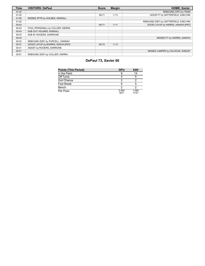| <b>Time</b> | <b>VISITORS: DePaul</b>            | <b>Score</b> | <b>Margin</b>   | <b>HOME: Xavier</b>                   |
|-------------|------------------------------------|--------------|-----------------|---------------------------------------|
| 01:22       |                                    |              |                 | REBOUND (OFF) by TEAM                 |
| 01:22       |                                    | 58-71        | V <sub>13</sub> | GOOD! FT by SATTERFIELD, KAELYNN      |
| 01:05       | MISSED 3PTR by HOLMES, KENDALL     |              |                 |                                       |
| 01:02       |                                    |              |                 | REBOUND (DEF) by SATTERFIELD, KAELYNN |
| 00:43       |                                    | 60-71        | V <sub>11</sub> | GOOD! LAYUP by HARRIS, AANAYA [PNT]   |
| 00:43       | FOUL (PERSONAL) by COLLIER, KIERRA |              |                 |                                       |
| 00:43       | SUB OUT: HOLMES, KENDALL           |              |                 |                                       |
| 00:43       | SUB IN: ROGERS, DARRIONE           |              |                 |                                       |
| 00:43       |                                    |              |                 | MISSED FT by HARRIS, AANAYA           |
| 00:43       | REBOUND (DEF) by PURCELL, HANNAH   |              |                 |                                       |
| 00:31       | GOOD! LAYUP by MORRIS, SONYA [PNT] | 60-73        | V <sub>13</sub> |                                       |
| 00:31       | ASSIST by ROGERS, DARRIONE         |              |                 |                                       |
| 00:01       |                                    |              |                 | MISSED JUMPER by CALHOUN, SHELBY      |
| 00:01       | REBOUND (DEF) by COLLIER, KIERRA   |              |                 |                                       |

# **DePaul 73, Xavier 60**

| <b>Points (This Period)</b> | <b>DPU</b>    | <b>XAV</b>     |
|-----------------------------|---------------|----------------|
| In the Paint                |               | 14             |
| Off Turns                   |               | 5              |
| 2nd Chance                  | ⌒             |                |
| <b>Fast Break</b>           |               | h              |
| Bench                       |               |                |
| Per Poss                    | 0.952<br>9/21 | 1.095<br>11/21 |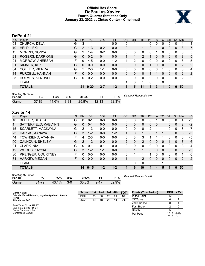# **Official Box Score DePaul vs Xavier Fourth Quarter Statistics Only January 23, 2022 at Cintas Center - Cincinnati**



# **DePaul 21**

| No. | Plaver                 | S | <b>Pts</b>    | <b>FG</b> | 3FG     | <b>FT</b> | <b>OR</b> | DR           | TR            | PF | A        | TO       | <b>B</b> lk | Stl          | Min | $+/-$ |
|-----|------------------------|---|---------------|-----------|---------|-----------|-----------|--------------|---------------|----|----------|----------|-------------|--------------|-----|-------|
| 03  | CHURCH, DEJA           | G | 3             | 1-1       | 1-1     | $0 - 0$   | 0         |              |               | 0  | 0        | 0        | 0           | 0            | 4   | 3     |
| 10  | HELD, LEXI             | G | $\mathcal{P}$ | $1 - 3$   | $0 - 2$ | $0 - 0$   | 0         |              |               | 2  |          | 0        | 0           | $\Omega$     | 8   | 7     |
| 11  | <b>MORRIS, SONYA</b>   | G | 2             | $1 - 4$   | $0 - 2$ | $0 - 0$   | $\Omega$  | 0            | 0             | 0  |          | 0        | 0           | 0            | 8   | 5     |
| 21  | ROGERS, DARRIONE       | G | 0             | $0 - 2$   | $0 - 1$ | $0 - 0$   |           |              | $\mathcal{P}$ |    | 0        | $\Omega$ | $\Omega$    | $\Omega$     | 8   | 5     |
| 24  | MORROW, ANEESAH        | F | 9             | $4 - 5$   | $0-0$   | $1 - 2$   | 4         | 2            | 6             | 0  | $\Omega$ | 0        | 0           | 0            | 8   | 5     |
| 01  | RIMMER, KEKE           | G | 0             | $0 - 0$   | $0 - 0$ | $0 - 0$   | $\Omega$  | 0            | 0             |    | 0        | 0        | 0           | 0            | 2   | 2     |
| 04  | <b>COLLIER, KIERRA</b> | G | 5             | $2 - 3$   | $1 - 1$ | $0 - 0$   | 0         | 0            | 0             | U  | 0        |          | 0           | 0            | 8   | 4     |
| 14  | PURCELL, HANNAH        | F | 0             | $0 - 0$   | $0 - 0$ | $0 - 0$   | $\Omega$  | 0            | 0             |    |          | 0        | 0           | 0            | 2   | 2     |
| 35  | HOLMES, KENDALL        | G | 0             | $0 - 2$   | $0-0$   | $0 - 0$   | 0         | 0            | 0             | 0  | 0        | 0        | 0           | 0            | 2   | 2     |
|     | TEAM                   |   |               |           |         |           |           | $\mathbf{0}$ | 1             | 0  |          | 0        |             |              |     |       |
|     | <b>TOTALS</b>          |   | 21            | $9 - 20$  | $2 - 7$ | $1 - 2$   | 6         | 5            | 11            | 5  | 3        |          | 0           | $\mathbf{0}$ | 50  |       |

| <b>Shooting By Period</b><br>Period | FG        | FG%   | 3FG      | 3FG%  |           | FT%   | Deadball Rebounds: 0,0 |
|-------------------------------------|-----------|-------|----------|-------|-----------|-------|------------------------|
| Game                                | $37 - 83$ | 44.6% | $8 - 31$ | 25.8% | $12 - 13$ | 92.3% |                        |

# **Xavier 14**

| No.               | Plaver                 | S | <b>Pts</b>    | FG.      | 3FG     | <b>FT</b> | <b>OR</b>      | DR       | TR             | PF | A            | TO       | <b>BIK</b> | Stl          | Min | $+/-$ |
|-------------------|------------------------|---|---------------|----------|---------|-----------|----------------|----------|----------------|----|--------------|----------|------------|--------------|-----|-------|
| 10                | <b>BEELER, SHAILA</b>  | G | 0             | $0 - 1$  | $0-0$   | $0-0$     | 0              | 0        | 0              | 0  |              |          | 0          | 0            | 4   | -3    |
| 11                | SATTERFIELD, KAELYNN   | G | 0             | $0 - 1$  | $0 - 0$ | $0 - 0$   | $\Omega$       | 0        | 0              | 0  | 0            |          | 0          | 0            | 2   | $-2$  |
| 15                | SCARLETT, MACKAYLA     | G | 2             | 1-3      | $0 - 0$ | $0 - 0$   | 0              | 0        | 0              | 2  |              |          | 0          | 0            | 8   | $-7$  |
| 23                | HARRIS, AANAYA         | G | 3             | $1 - 2$  | $0 - 0$ | $1 - 2$   | 1              | 0        | 1              | 0  |              |          | 0          | $\mathbf{0}$ | 6   | $-3$  |
| 44                | TOWNSEND, AYANNA       | F | 4             | $2 - 3$  | $0 - 0$ | $0 - 0$   | 0              | 3        | 3              |    |              |          | 0          | 0            | 6   | -5    |
| 00                | <b>CALHOUN, SHELBY</b> | G | $\mathcal{P}$ | $1 - 2$  | $0 - 0$ | $0 - 0$   | $\overline{2}$ | $\Omega$ | $\overline{2}$ | 0  | $\Omega$     | $\Omega$ | 1          | $\Omega$     | 7   | -6    |
| 01                | CLARK, NIA             | G | 0             | $0 - 1$  | $0 - 1$ | $0 - 0$   | 0              | $\Omega$ | 0              | 0  | 0            | $\Omega$ | 0          | $\Omega$     | 8   | $-4$  |
| $12 \overline{ }$ | WOODS, KAYSIA          | G | 3             | $1 - 2$  | $1 - 1$ | $0 - 0$   | $\Omega$       |          |                | 0  | $\mathbf{0}$ | $\Omega$ | 0          | $\mathbf{0}$ | 5   | $-3$  |
| 30                | PRENGER, COURTNEY      | F | U             | $0 - 0$  | $0 - 0$ | $0 - 0$   | $\Omega$       |          | 1              |    | 0            | 0        | 0          | $\Omega$     |     | 0     |
| 31                | <b>HARKEY, MEGAN</b>   | F | 0             | $0 - 0$  | $0 - 0$ | $0 - 0$   | 1              |          | $\overline{2}$ | 0  | 0            | 0        | 0          | $\Omega$     | 2   | $-2$  |
|                   | TEAM                   |   |               |          |         |           | $\Omega$       | 0        | 0              | 0  |              | 1        |            |              |     |       |
|                   | <b>TOTALS</b>          |   | 14            | $6 - 15$ | $1 - 2$ | $1 - 2$   | 4              | 6        | 10             | 4  | 4            | 5        | 1          | 0            | 50  |       |

| <b>Shooting By Period</b><br>Period | FG        | FG%   | 3FG   | 3FG%  | FТ       | FT%   | De |
|-------------------------------------|-----------|-------|-------|-------|----------|-------|----|
| Game                                | $31 - 72$ | 43.1% | $3-9$ | 33.3% | $9 - 17$ | 52.9% |    |

*Deadball Rebounds:* 4,0

| Game Notes:                                                   | <b>Score</b> | 1st | 2nd | 3rd | 4th | тот | <b>Points (This Period)</b> | DPU XAV |       |
|---------------------------------------------------------------|--------------|-----|-----|-----|-----|-----|-----------------------------|---------|-------|
| Officials: David Rafalski, Krystle Apellaniz, Alexis<br>Perez | <b>DPU</b>   | 23  | 30  | 20  |     | 94  | In the Paint                |         |       |
| Attendance: 647                                               | XAV          | 19  | 18  | 23  | 14  | 74  | Off Turns                   |         |       |
|                                                               |              |     |     |     |     |     | 2nd Chance                  |         |       |
| Start Time: 02:10 PM ET<br>End Time: 04:08 PM ET              |              |     |     |     |     |     | <b>Fast Break</b>           |         |       |
| Game Duration: 1:58                                           |              |     |     |     |     |     | Bench                       |         |       |
| Conference Game:                                              |              |     |     |     |     |     | Per Poss                    | .313    | 0.824 |

1.313 0.824<br>10/16 7/17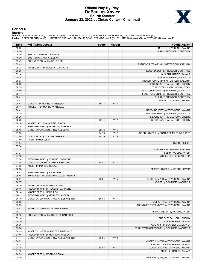# **Official Play-By-Play DePaul vs Xavier Fourth Quarter January 23, 2022 at Cintas Center - Cincinnati**



### **Period 4**

<mark>Starters :</mark><br>DePaul: 3 CHURCH,DEJA (G); 10 HELD,LEXI (G); 11 MORRIS,SONYA (G); 21 ROGERS,DARRIONE (G); 24 MORROW,ANEESAH (F);<br>**Xavie**r: 10 BEELER,SHAILA (G); 11 SATTERFIELD,KAELYNN (G); 15 SCARLETT,MACKAYLA (G); 23 HARRIS,

| Time           | <b>VISITORS: DePaul</b>                                     | <b>Score</b> | <b>Margin</b>   | <b>HOME: Xavier</b>                                                            |
|----------------|-------------------------------------------------------------|--------------|-----------------|--------------------------------------------------------------------------------|
| 10:00          |                                                             |              |                 | SUB OUT: TOWNSEND, AYANNA                                                      |
| 10:00          |                                                             |              |                 | SUB IN: PRENGER, COURTNEY                                                      |
| 10:00          | SUB OUT: PURCELL, HANNAH                                    |              |                 |                                                                                |
| 10:00          | SUB IN: MORROW, ANEESAH                                     |              |                 |                                                                                |
| 09:49          | FOUL (PERSONAL) by HELD, LEXI                               |              |                 |                                                                                |
| 09:43          |                                                             |              |                 | TURNOVER (TRAVEL) by SATTERFIELD, KAELYNN                                      |
| 09:32          | MISSED 3PTR by ROGERS, DARRIONE                             |              |                 |                                                                                |
| 09:26          |                                                             |              |                 | REBOUND (DEF) by PRENGER, COURTNEY                                             |
| 09:14          |                                                             |              |                 | SUB OUT: HARRIS, AANAYA                                                        |
| 09:14          |                                                             |              |                 | SUB IN: SCARLETT, MACKAYLA                                                     |
| 09:03          |                                                             |              |                 | MISSED JUMPER by SATTERFIELD, KAELYNN                                          |
| 09:00          |                                                             |              |                 | REBOUND (OFF) by CALHOUN, SHELBY                                               |
| 08:59          |                                                             |              |                 | TURNOVER (SHOTCLOCK) by TEAM                                                   |
| 08:50          |                                                             |              |                 | FOUL (PERSONAL) by SCARLETT, MACKAYLA                                          |
| 08:41          |                                                             |              |                 | FOUL (PERSONAL) by PRENGER, COURTNEY                                           |
| 08:41          |                                                             |              |                 | SUB OUT: PRENGER, COURTNEY                                                     |
| 08:41<br>08:41 |                                                             | 60-74        | V <sub>14</sub> | SUB IN: TOWNSEND, AYANNA                                                       |
| 08:41          | GOOD! FT by MORROW, ANEESAH<br>MISSED FT by MORROW, ANEESAH |              |                 |                                                                                |
| 08:41          |                                                             |              |                 | REBOUND (DEF) by TOWNSEND, AYANNA                                              |
| 08:29          |                                                             |              |                 | MISSED LAYUP by SCARLETT, MACKAYLA                                             |
| 08:26          |                                                             |              |                 | REBOUND (OFF) by CALHOUN, SHELBY                                               |
| 08:26          |                                                             | 62-74        | V <sub>12</sub> | GOOD! LAYUP by CALHOUN, SHELBY                                                 |
| 08:16          | MISSED LAYUP by MORRIS, SONYA                               |              |                 |                                                                                |
| 08:15          | REBOUND (OFF) by MORROW, ANEESAH                            |              |                 |                                                                                |
| 08:13          | GOOD! LAYUP by MORROW, ANEESAH                              | 62-76        | V <sub>14</sub> |                                                                                |
| 07:53          |                                                             | 64-76        | V <sub>12</sub> | GOOD! JUMPER by SCARLETT, MACKAYLA [PNT]                                       |
| 07:40          | GOOD! 3PTR by COLLIER, KIERRA                               | 64-79        | V <sub>15</sub> |                                                                                |
| 07:40          | ASSIST by HELD, LEXI                                        |              |                 |                                                                                |
| 07:34          |                                                             |              |                 | TIMEOUT 30SEC                                                                  |
| 07:34          |                                                             |              |                 |                                                                                |
| 07:34          |                                                             |              |                 | SUB OUT: SATTERFIELD, KAELYNN                                                  |
| 07:34          |                                                             |              |                 | SUB IN: WOODS, KAYSIA                                                          |
| 07:13          |                                                             |              |                 | MISSED 3PTR by CLARK, NIA                                                      |
| 07:08          | REBOUND (DEF) by ROGERS, DARRIONE                           |              |                 |                                                                                |
| 07:05          | GOOD! LAYUP by COLLIER, KIERRA [FB]                         | 64-81        | V <sub>17</sub> |                                                                                |
| 07:05          | ASSIST by MORRIS, SONYA                                     |              |                 |                                                                                |
| 06:56          |                                                             |              |                 | MISSED JUMPER by WOODS, KAYSIA                                                 |
| 06:52          | REBOUND (DEF) by HELD, LEXI                                 |              |                 |                                                                                |
| 06:48          | TURNOVER (BADPASS) by COLLIER, KIERRA                       |              |                 |                                                                                |
| 06:37          |                                                             | 66-81        | V <sub>15</sub> | GOOD! JUMPER by TOWNSEND, AYANNA                                               |
| 06:37          |                                                             |              |                 | ASSIST by SCARLETT, MACKAYLA                                                   |
| 06:19          | MISSED 3PTR by MORRIS, SONYA                                |              |                 |                                                                                |
| 06:16          | REBOUND (OFF) by ROGERS, DARRIONE                           |              |                 |                                                                                |
| 06:14          | MISSED 3PTR by HELD, LEXI                                   |              |                 |                                                                                |
| 06:11          | REBOUND (OFF) by MORROW, ANEESAH                            |              |                 |                                                                                |
| 06:10          | GOOD! LAYUP by MORROW, ANEESAH [PNT]                        | 66-83        | V <sub>17</sub> |                                                                                |
| 05:55          |                                                             |              |                 | FOUL (OFF) by TOWNSEND, AYANNA                                                 |
| 05:55          |                                                             |              |                 | TURNOVER (OFFENSIVE) by TOWNSEND, AYANNA                                       |
| 05:41          | MISSED JUMPER by COLLIER, KIERRA                            |              |                 |                                                                                |
| 05:37          |                                                             |              |                 | REBOUND (DEF) by WOODS, KAYSIA                                                 |
| 05:10          | FOUL (PERSONAL) by ROGERS, DARRIONE                         |              |                 |                                                                                |
| 05:10<br>05:10 |                                                             |              |                 | SUB OUT: CALHOUN, SHELBY<br>SUB IN: HARRIS, AANAYA                             |
| 05:06          |                                                             |              |                 |                                                                                |
| 05:06          |                                                             |              |                 | FOUL (OFF) by SCARLETT, MACKAYLA<br>TURNOVER (OFFENSIVE) by SCARLETT, MACKAYLA |
| 04:49          | MISSED JUMPER by ROGERS, DARRIONE                           |              |                 |                                                                                |
| 04:45          | REBOUND (OFF) by MORROW, ANEESAH                            |              |                 |                                                                                |
| 04:44          | GOOD! LAYUP by MORROW, ANEESAH [PNT]                        | 66-85        | $V$ 19          |                                                                                |
| 04:22          |                                                             |              |                 | MISSED JUMPER by TOWNSEND, AYANNA                                              |
| 04:18          |                                                             |              |                 | REBOUND (OFF) by HARRIS, AANAYA                                                |
| 04:15          |                                                             | 68-85        | V 17            | GOOD! LAYUP by TOWNSEND, AYANNA                                                |
| 04:15          |                                                             |              |                 | ASSIST by HARRIS, AANAYA                                                       |
| 04:03          | MISSED 3PTR by MORRIS, SONYA                                |              |                 |                                                                                |
| 04:00          |                                                             |              |                 | REBOUND (DEF) by TOWNSEND, AYANNA                                              |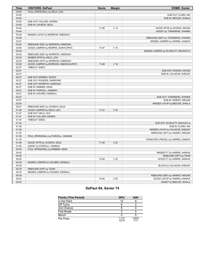| <b>Time</b> | <b>VISITORS: DePaul</b>               | <b>Score</b> | <b>Margin</b>   | <b>HOME: Xavier</b>                 |
|-------------|---------------------------------------|--------------|-----------------|-------------------------------------|
| 03:55       | FOUL (PERSONAL) by HELD, LEXI         |              |                 |                                     |
| 03:55       |                                       |              |                 | SUB OUT: CLARK, NIA                 |
| 03:55       |                                       |              |                 | SUB IN: BEELER, SHAILA              |
| 03:55       | SUB OUT: COLLIER, KIERRA              |              |                 |                                     |
| 03:55       | SUB IN: CHURCH, DEJA                  |              |                 |                                     |
| 03:44       |                                       | 71-85        | V <sub>14</sub> | GOOD! 3PTR by WOODS, KAYSIA         |
| 03:44       |                                       |              |                 | ASSIST by TOWNSEND, AYANNA          |
| 03:28       | MISSED LAYUP by MORROW, ANEESAH       |              |                 |                                     |
| 03:26       |                                       |              |                 | REBOUND (DEF) by TOWNSEND, AYANNA   |
| 03:07       |                                       |              |                 | MISSED JUMPER by HARRIS, AANAYA     |
| 03:05       | REBOUND (DEF) by MORROW, ANEESAH      |              |                 |                                     |
| 02:56       | GOOD! JUMPER by MORRIS, SONYA [PNT]   | 71-87        | V <sub>16</sub> |                                     |
| 02:43       |                                       |              |                 | MISSED JUMPER by SCARLETT, MACKAYLA |
| 02:40       | REBOUND (DEF) by MORROW, ANEESAH      |              |                 |                                     |
| 02:32       | MISSED 3PTR by HELD, LEXI             |              |                 |                                     |
| 02:30       | REBOUND (OFF) by MORROW, ANEESAH      |              |                 |                                     |
| 02:28       | GOOD! JUMPER by MORROW, ANEESAH [PNT] | 71-89        | V <sub>18</sub> |                                     |
| 02:27       | TIMEOUT 30SEC                         |              |                 |                                     |
| 02:27       |                                       |              |                 | SUB OUT: WOODS, KAYSIA              |
| 02:27       |                                       |              |                 | SUB IN: CALHOUN, SHELBY             |
| 02:27       | SUB OUT: MORRIS, SONYA                |              |                 |                                     |
| 02:27       | SUB OUT: ROGERS, DARRIONE             |              |                 |                                     |
| 02:27       | SUB OUT: MORROW, ANEESAH              |              |                 |                                     |
| 02:27       | SUB IN: RIMMER, KEKE                  |              |                 |                                     |
| 02:27       | SUB IN: PURCELL, HANNAH               |              |                 |                                     |
| 02:27       | SUB IN: HOLMES, KENDALL               |              |                 |                                     |
| 02:27       |                                       |              |                 | SUB OUT: TOWNSEND, AYANNA           |
| 02:27       |                                       |              |                 | SUB IN: HARKEY, MEGAN               |
| 02:04       |                                       |              |                 | MISSED LAYUP by BEELER, SHAILA      |
| 02:01       | REBOUND (DEF) by CHURCH, DEJA         |              |                 |                                     |
| 01:49       | GOOD! JUMPER by HELD, LEXI            | 71-91        | V <sub>20</sub> |                                     |
| 01:47       | SUB OUT: HELD, LEXI                   |              |                 |                                     |
| 01:47       | SUB IN: COLLIER, KIERRA               |              |                 |                                     |
| 01:47       | <b>TIMEOUT 30SEC</b>                  |              |                 |                                     |
| 01:30       |                                       |              |                 | SUB OUT: SCARLETT, MACKAYLA         |
| 01:30       |                                       |              |                 | SUB IN: CLARK, NIA                  |
| 01:26       |                                       |              |                 | MISSED LAYUP by CALHOUN, SHELBY     |
| 01:25       |                                       |              |                 | REBOUND (OFF) by HARKEY, MEGAN      |
| 01:25       | FOUL (PERSONAL) by PURCELL, HANNAH    |              |                 |                                     |
| 01:16       |                                       |              |                 | TURNOVER (TRAVEL) by HARRIS, AANAYA |
| 01:06       | GOOD! 3PTR by CHURCH, DEJA            | 71-94        | V <sub>23</sub> |                                     |
| 01:06       | ASSIST by PURCELL, HANNAH             |              |                 |                                     |
| 00:45       | FOUL (PERSONAL) by RIMMER, KEKE       |              |                 |                                     |
| 00:45       |                                       |              |                 | MISSED FT by HARRIS, AANAYA         |
| 00:45       |                                       |              |                 | REBOUND (OFF) by TEAM               |
| 00:45       |                                       | 72-94        | V <sub>22</sub> | GOOD! FT by HARRIS, AANAYA          |
| 00:35       | MISSED JUMPER by HOLMES, KENDALL      |              |                 |                                     |
| 00:35       |                                       |              |                 | BLOCK by CALHOUN, SHELBY            |
| 00:35       | REBOUND (OFF) by TEAM                 |              |                 |                                     |
| 00:33       | MISSED JUMPER by HOLMES, KENDALL      |              |                 |                                     |
| 00:30       |                                       |              |                 | REBOUND (DEF) by HARKEY, MEGAN      |
| 00:22       |                                       | 74-94        | V <sub>20</sub> | GOOD! LAYUP by HARRIS, AANAYA       |
| 00:22       |                                       |              |                 | ASSIST by BEELER, SHAILA            |

# **DePaul 94, Xavier 74**

| <b>Points (This Period)</b> | <b>DPU</b>     | <b>XAV</b>    |
|-----------------------------|----------------|---------------|
| In the Paint                | 12             |               |
| Off Turns                   |                |               |
| 2nd Chance                  |                |               |
| <b>Fast Break</b>           |                |               |
| Bench                       | 5              |               |
| Per Poss                    | 1.313<br>10/16 | 0.824<br>7/17 |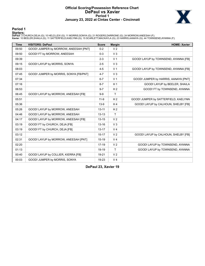### **Official Scoring/Possession Reference Chart DePaul vs Xavier Period 1 January 23, 2022 at Cintas Center - Cincinnati**



### **Period 1**

<mark>Starters :</mark><br>DePaul: 3 CHURCH,DEJA (G); 10 HELD,LEXI (G); 11 MORRIS,SONYA (G); 21 ROGERS,DARRIONE (G); 24 MORROW,ANEESAH (F);<br>**Xavie**r: 10 BEELER,SHAILA (G); 11 SATTERFIELD,KAELYNN (G); 15 SCARLETT,MACKAYLA (G); 23 HARRIS,

| <b>Time</b> | <b>VISITORS: DePaul</b>                | <b>Score</b> | <b>Margin</b>  | <b>HOME: Xavier</b>                  |
|-------------|----------------------------------------|--------------|----------------|--------------------------------------|
| 09:50       | GOOD! JUMPER by MORROW, ANEESAH [PNT]  | $0 - 2$      | V <sub>2</sub> |                                      |
| 09:50       | GOOD! FT by MORROW, ANEESAH            | $0-3$        | V <sub>3</sub> |                                      |
| 09:39       |                                        | $2 - 3$      | V <sub>1</sub> | GOOD! LAYUP by TOWNSEND, AYANNA [FB] |
| 09:15       | GOOD! LAYUP by MORRIS, SONYA           | $2 - 5$      | V <sub>3</sub> |                                      |
| 08:03       |                                        | $4 - 5$      | V <sub>1</sub> | GOOD! LAYUP by TOWNSEND, AYANNA [FB] |
| 07:45       | GOOD! JUMPER by MORRIS, SONYA [FB/PNT] | $4 - 7$      | V <sub>3</sub> |                                      |
| 07:34       |                                        | $6 - 7$      | V <sub>1</sub> | GOOD! JUMPER by HARRIS, AANAYA [PNT] |
| 07:16       |                                        | $8 - 7$      | H <sub>1</sub> | GOOD! LAYUP by BEELER, SHAILA        |
| 06:53       |                                        | $9 - 7$      | H <sub>2</sub> | GOOD! FT by TOWNSEND, AYANNA         |
| 06:45       | GOOD! LAYUP by MORROW, ANEESAH [FB]    | $9-9$        | T              |                                      |
| 05:51       |                                        | $11 - 9$     | H <sub>2</sub> | GOOD! JUMPER by SATTERFIELD, KAELYNN |
| 05:36       |                                        | $13-9$       | H <sub>4</sub> | GOOD! LAYUP by CALHOUN, SHELBY [FB]  |
| 05:26       | GOOD! LAYUP by MORROW, ANEESAH         | $13 - 11$    | H <sub>2</sub> |                                      |
| 04:46       | GOOD! LAYUP by MORROW, ANEESAH         | $13 - 13$    | T              |                                      |
| 04:17       | GOOD! LAYUP by MORROW, ANEESAH [FB]    | $13 - 15$    | V <sub>2</sub> |                                      |
| 03:19       | GOOD! FT by CHURCH, DEJA [FB]          | $13 - 16$    | V <sub>3</sub> |                                      |
| 03:19       | GOOD! FT by CHURCH, DEJA [FB]          | $13 - 17$    | V <sub>4</sub> |                                      |
| 03:12       |                                        | $15 - 17$    | V <sub>2</sub> | GOOD! LAYUP by CALHOUN, SHELBY [FB]  |
| 02:31       | GOOD! LAYUP by MORROW, ANEESAH [PNT]   | $15 - 19$    | V <sub>4</sub> |                                      |
| 02:20       |                                        | $17-19$      | V <sub>2</sub> | GOOD! LAYUP by TOWNSEND, AYANNA      |
| 01:13       |                                        | 19-19        | T              | GOOD! LAYUP by TOWNSEND, AYANNA      |
| 00:40       | GOOD! LAYUP by COLLIER, KIERRA [FB]    | 19-21        | V <sub>2</sub> |                                      |
| 00:03       | GOOD! JUMPER by MORRIS, SONYA          | 19-23        | V <sub>4</sub> |                                      |

**DePaul 23, Xavier 19**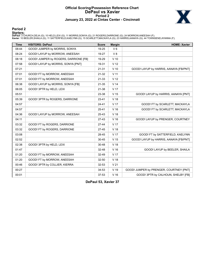### **Official Scoring/Possession Reference Chart DePaul vs Xavier Period 2 January 23, 2022 at Cintas Center - Cincinnati**



# **Period 2**

<mark>Starters :</mark><br>DePaul: 3 CHURCH,DEJA (G); 10 HELD,LEXI (G); 11 MORRIS,SONYA (G); 21 ROGERS,DARRIONE (G); 24 MORROW,ANEESAH (F);<br>**Xavie**r: 10 BEELER,SHAILA (G); 11 SATTERFIELD,KAELYNN (G); 15 SCARLETT,MACKAYLA (G); 23 HARRIS,

| <b>Time</b> | <b>VISITORS: DePaul</b>               | <b>Score</b> | <b>Margin</b>   | <b>HOME: Xavier</b>                     |
|-------------|---------------------------------------|--------------|-----------------|-----------------------------------------|
| 08:44       | GOOD! JUMPER by MORRIS, SONYA         | 19-25        | $V_6$           |                                         |
| 08:24       | GOOD! LAYUP by MORROW, ANEESAH        | 19-27        | V8              |                                         |
| 08:18       | GOOD! JUMPER by ROGERS, DARRIONE [FB] | 19-29        | $V$ 10          |                                         |
| 07:58       | GOOD! LAYUP by MORRIS, SONYA [PNT]    | 19-31        | V <sub>12</sub> |                                         |
| 07:21       |                                       | $21 - 31$    | $V$ 10          | GOOD! LAYUP by HARRIS, AANAYA [FB/PNT]  |
| 07:01       | GOOD! FT by MORROW, ANEESAH           | 21-32        | V <sub>11</sub> |                                         |
| 07:01       | GOOD! FT by MORROW, ANEESAH           | 21-33        | V <sub>12</sub> |                                         |
| 06:38       | GOOD! LAYUP by MORRIS, SONYA [FB]     | $21 - 35$    | V <sub>14</sub> |                                         |
| 06:05       | GOOD! 3PTR by HELD, LEXI              | 21-38        | V <sub>17</sub> |                                         |
| 05:51       |                                       | 23-38        | V <sub>15</sub> | GOOD! LAYUP by HARRIS, AANAYA [PNT]     |
| 05:39       | GOOD! 3PTR by ROGERS, DARRIONE        | $23 - 41$    | V <sub>18</sub> |                                         |
| 04:57       |                                       | $24 - 41$    | V <sub>17</sub> | GOOD! FT by SCARLETT, MACKAYLA          |
| 04:57       |                                       | 25-41        | $V$ 16          | GOOD! FT by SCARLETT, MACKAYLA          |
| 04:36       | GOOD! LAYUP by MORROW, ANEESAH        | 25-43        | V 18            |                                         |
| 04:11       |                                       | $27-43$      | V <sub>16</sub> | GOOD! LAYUP by PRENGER, COURTNEY        |
| 03:32       | GOOD! FT by ROGERS, DARRIONE          | $27 - 44$    | V 17            |                                         |
| 03:32       | GOOD! FT by ROGERS, DARRIONE          | $27 - 45$    | V <sub>18</sub> |                                         |
| 03:08       |                                       | 28-45        | V <sub>17</sub> | GOOD! FT by SATTERFIELD, KAELYNN        |
| 02:52       |                                       | $30 - 45$    | V <sub>15</sub> | GOOD! LAYUP by HARRIS, AANAYA [FB/PNT]  |
| 02:38       | GOOD! 3PTR by HELD, LEXI              | 30-48        | V <sub>18</sub> |                                         |
| 01:47       |                                       | 32-48        | V <sub>16</sub> | GOOD! LAYUP by BEELER, SHAILA           |
| 01:20       | GOOD! FT by MORROW, ANEESAH           | 32-49        | V 17            |                                         |
| 01:20       | GOOD! FT by MORROW, ANEESAH           | 32-50        | V <sub>18</sub> |                                         |
| 00:46       | GOOD! 3PTR by COLLIER, KIERRA         | 32-53        | V <sub>21</sub> |                                         |
| 00:27       |                                       | 34-53        | V <sub>19</sub> | GOOD! JUMPER by PRENGER, COURTNEY [PNT] |
| 00:01       |                                       | 37-53        | V <sub>16</sub> | GOOD! 3PTR by CALHOUN, SHELBY [FB]      |

**DePaul 53, Xavier 37**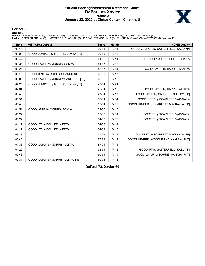### **Official Scoring/Possession Reference Chart DePaul vs Xavier Period 3 January 23, 2022 at Cintas Center - Cincinnati**



# **Period 3**

<mark>Starters :</mark><br>DePaul: 3 CHURCH,DEJA (G); 10 HELD,LEXI (G); 11 MORRIS,SONYA (G); 21 ROGERS,DARRIONE (G); 24 MORROW,ANEESAH (F);<br>**Xavie**r: 10 BEELER,SHAILA (G); 11 SATTERFIELD,KAELYNN (G); 15 SCARLETT,MACKAYLA (G); 23 HARRIS,

| <b>Time</b> | <b>VISITORS: DePaul</b>             | <b>Score</b> | <b>Margin</b>   | <b>HOME: Xavier</b>                     |
|-------------|-------------------------------------|--------------|-----------------|-----------------------------------------|
| 09:17       |                                     | 39-53        | V <sub>14</sub> | GOOD! JUMPER by SATTERFIELD, KAELYNN    |
| 09:09       | GOOD! JUMPER by MORRIS, SONYA [FB]  | 39-55        | V <sub>16</sub> |                                         |
| 08:47       |                                     | 41-55        | V <sub>14</sub> | GOOD! LAYUP by BEELER, SHAILA           |
| 08:35       | GOOD! LAYUP by MORRIS, SONYA        | 41-57        | V <sub>16</sub> |                                         |
| 08:25       |                                     | 43-57        | V <sub>14</sub> | GOOD! LAYUP by HARRIS, AANAYA           |
| 08:16       | GOOD! 3PTR by ROGERS, DARRIONE      | 43-60        | V <sub>17</sub> |                                         |
| 08:00       | GOOD! LAYUP by MORROW, ANEESAH [FB] | 43-62        | V <sub>19</sub> |                                         |
| 07:25       | GOOD! JUMPER by MORRIS, SONYA [FB]  | 43-64        | V <sub>21</sub> |                                         |
| 07:04       |                                     | 45-64        | V 19            | GOOD! LAYUP by HARRIS, AANAYA           |
| 06:40       |                                     | 47-64        | V <sub>17</sub> | GOOD! LAYUP by CALHOUN, SHELBY [FB]     |
| 05:51       |                                     | 50-64        | V <sub>14</sub> | GOOD! 3PTR by SCARLETT, MACKAYLA        |
| 05:40       |                                     | 52-64        | V <sub>12</sub> | GOOD! JUMPER by SCARLETT, MACKAYLA [FB] |
| 04:51       | GOOD! 3PTR by MORRIS, SONYA         | 52-67        | V <sub>15</sub> |                                         |
| 04:27       |                                     | 53-67        | V <sub>14</sub> | GOOD! FT by SCARLETT, MACKAYLA          |
| 04:27       |                                     | 54-67        | V <sub>13</sub> | GOOD! FT by SCARLETT, MACKAYLA          |
| 04:17       | GOOD! FT by COLLIER, KIERRA         | 54-68        | V <sub>14</sub> |                                         |
| 04:17       | GOOD! FT by COLLIER, KIERRA         | 54-69        | V <sub>15</sub> |                                         |
| 03:13       |                                     | 55-69        | V <sub>14</sub> | GOOD! FT by SCARLETT, MACKAYLA [FB]     |
| 02:42       |                                     | 57-69        | V <sub>12</sub> | GOOD! JUMPER by TOWNSEND, AYANNA [PNT]  |
| 01:33       | GOOD! LAYUP by MORRIS, SONYA        | 57-71        | V <sub>14</sub> |                                         |
| 01:22       |                                     | 58-71        | V <sub>13</sub> | GOOD! FT by SATTERFIELD, KAELYNN        |
| 00:43       |                                     | 60-71        | V <sub>11</sub> | GOOD! LAYUP by HARRIS, AANAYA [PNT]     |
| 00:31       | GOOD! LAYUP by MORRIS, SONYA [PNT]  | 60-73        | V <sub>13</sub> |                                         |

**DePaul 73, Xavier 60**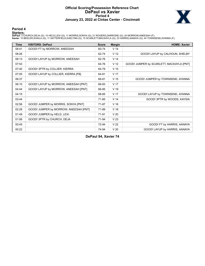### **Official Scoring/Possession Reference Chart DePaul vs Xavier Period 4 January 23, 2022 at Cintas Center - Cincinnati**



# **Period 4**

<mark>Starters :</mark><br>DePaul: 3 CHURCH,DEJA (G); 10 HELD,LEXI (G); 11 MORRIS,SONYA (G); 21 ROGERS,DARRIONE (G); 24 MORROW,ANEESAH (F);<br>**Xavie**r: 10 BEELER,SHAILA (G); 11 SATTERFIELD,KAELYNN (G); 15 SCARLETT,MACKAYLA (G); 23 HARRIS,

| <b>Time</b> | <b>VISITORS: DePaul</b>               | <b>Score</b> | <b>Margin</b>   | <b>HOME: Xavier</b>                      |
|-------------|---------------------------------------|--------------|-----------------|------------------------------------------|
| 08:41       | GOOD! FT by MORROW, ANEESAH           | 60-74        | V <sub>14</sub> |                                          |
| 08:26       |                                       | 62-74        | V <sub>12</sub> | GOOD! LAYUP by CALHOUN, SHELBY           |
| 08:13       | GOOD! LAYUP by MORROW, ANEESAH        | 62-76        | V <sub>14</sub> |                                          |
| 07:53       |                                       | 64-76        | V <sub>12</sub> | GOOD! JUMPER by SCARLETT, MACKAYLA [PNT] |
| 07:40       | GOOD! 3PTR by COLLIER, KIERRA         | 64-79        | V <sub>15</sub> |                                          |
| 07:05       | GOOD! LAYUP by COLLIER, KIERRA [FB]   | 64-81        | V <sub>17</sub> |                                          |
| 06:37       |                                       | 66-81        | V <sub>15</sub> | GOOD! JUMPER by TOWNSEND, AYANNA         |
| 06:10       | GOOD! LAYUP by MORROW, ANEESAH [PNT]  | 66-83        | V <sub>17</sub> |                                          |
| 04:44       | GOOD! LAYUP by MORROW, ANEESAH [PNT]  | 66-85        | V 19            |                                          |
| 04:15       |                                       | 68-85        | V <sub>17</sub> | GOOD! LAYUP by TOWNSEND, AYANNA          |
| 03:44       |                                       | 71-85        | V <sub>14</sub> | GOOD! 3PTR by WOODS, KAYSIA              |
| 02:56       | GOOD! JUMPER by MORRIS, SONYA [PNT]   | 71-87        | V <sub>16</sub> |                                          |
| 02:28       | GOOD! JUMPER by MORROW, ANEESAH [PNT] | 71-89        | V <sub>18</sub> |                                          |
| 01:49       | GOOD! JUMPER by HELD, LEXI            | 71-91        | V <sub>20</sub> |                                          |
| 01:06       | GOOD! 3PTR by CHURCH, DEJA            | 71-94        | V <sub>23</sub> |                                          |
| 00:45       |                                       | 72-94        | V <sub>22</sub> | GOOD! FT by HARRIS, AANAYA               |
| 00:22       |                                       | 74-94        | V <sub>20</sub> | GOOD! LAYUP by HARRIS, AANAYA            |

**DePaul 94, Xavier 74**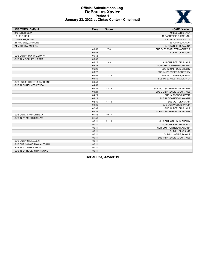

### **Official Substitutions Log DePaul vs Xavier Period 1 January 23, 2022 at Cintas Center - Cincinnati**

| <b>VISITORS: DePaul</b>     | <b>Time</b> | <b>Score</b> | <b>HOME: Xavier</b>          |
|-----------------------------|-------------|--------------|------------------------------|
| 3 CHURCH, DEJA              |             |              | 10 BEELER, SHAILA            |
| 10 HELD, LEXI               |             |              | 11 SATTERFIELD, KAELYNN      |
| 11 MORRIS, SONYA            |             |              | 15 SCARLETT, MACKAYLA        |
| 21 ROGERS, DARRIONE         |             |              | 23 HARRIS, AANAYA            |
| 24 MORROW, ANEESAH          |             |              | 44 TOWNSEND, AYANNA          |
|                             | 06:53       | $7 - 8$      | SUB OUT: SCARLETT, MACKAYLA  |
|                             | 06:53       |              | SUB IN: CLARK, NIA           |
| SUB OUT: 11 MORRIS, SONYA   | 06:53       |              |                              |
| SUB IN: 4 COLLIER, KIERRA   | 06:53       |              |                              |
|                             | 06:22       | $9 - 9$      | SUB OUT: BEELER, SHAILA      |
|                             | 06:22       |              | SUB OUT: TOWNSEND, AYANNA    |
|                             | 06:22       |              | SUB IN: CALHOUN, SHELBY      |
|                             | 06:22       |              | SUB IN: PRENGER, COURTNEY    |
|                             | 04:59       | $11 - 13$    | SUB OUT: HARRIS, AANAYA      |
|                             | 04:59       |              | SUB IN: SCARLETT, MACKAYLA   |
| SUB OUT: 21 ROGERS.DARRIONE | 04:59       |              |                              |
| SUB IN: 35 HOLMES.KENDALL   | 04:59       |              |                              |
|                             | 04:21       | $13 - 13$    | SUB OUT: SATTERFIELD.KAELYNN |
|                             | 04:21       |              | SUB OUT: PRENGER, COURTNEY   |
|                             | 04:21       |              | SUB IN: WOODS, KAYSIA        |
|                             | 04:21       |              | SUB IN: TOWNSEND, AYANNA     |
|                             | 02:39       | $17 - 15$    | SUB OUT: CLARK, NIA          |
|                             | 02:39       |              | SUB OUT: WOODS, KAYSIA       |
|                             | 02:39       |              | SUB IN: BEELER, SHAILA       |
|                             | 02:39       |              | SUB IN: SATTERFIELD, KAELYNN |
| SUB OUT: 3 CHURCH, DEJA     | 01:56       | 19-17        |                              |
| SUB IN: 11 MORRIS, SONYA    | 01:56       |              |                              |
|                             | 00:11       | $21 - 19$    | SUB OUT: CALHOUN, SHELBY     |
|                             | 00:11       |              | SUB OUT: BEELER, SHAILA      |
|                             | 00:11       |              | SUB OUT: TOWNSEND, AYANNA    |
|                             | 00:11       |              | SUB IN: CLARK, NIA           |
|                             | 00:11       |              | SUB IN: HARRIS, AANAYA       |
|                             | 00:11       |              | SUB IN: PRENGER, COURTNEY    |
| SUB OUT: 10 HELD, LEXI      | 00:11       |              |                              |
| SUB OUT: 24 MORROW, ANEESAH | 00:11       |              |                              |
| SUB IN: 3 CHURCH, DEJA      | 00:11       |              |                              |
| SUB IN: 21 ROGERS DARRIONE  | 00:11       |              |                              |

**DePaul 23, Xavier 19**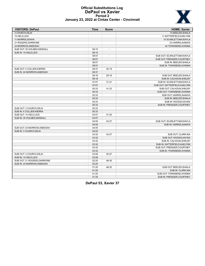

### **Official Substitutions Log DePaul vs Xavier Period 2 January 23, 2022 at Cintas Center - Cincinnati**

| <b>VISITORS: DePaul</b>      | <b>Time</b> | <b>Score</b>             | <b>HOME: Xavier</b>           |
|------------------------------|-------------|--------------------------|-------------------------------|
| 3 CHURCH, DEJA               |             |                          | 10 BEELER, SHAILA             |
| 10 HELD.LEXI                 |             |                          | 11 SATTERFIELD.KAELYNN        |
| 11 MORRIS, SONYA             |             |                          | 15 SCARLETT, MACKAYLA         |
| 21 ROGERS, DARRIONE          |             |                          | 23 HARRIS, AANAYA             |
| 24 MORROW, ANEESAH           |             |                          | 44 TOWNSEND, AYANNA           |
| SUB OUT: 35 HOLMES, KENDALL  | 09:15       | $\overline{\phantom{a}}$ |                               |
| SUB IN: 10 HELD, LEXI        | 09:15       |                          |                               |
|                              | 08:57       | $\overline{\phantom{a}}$ | SUB OUT: SCARLETT, MACKAYLA   |
|                              | 08:57       |                          | SUB OUT: PRENGER.COURTNEY     |
|                              | 08:57       |                          | SUB IN: BEELER, SHAILA        |
|                              | 08:57       |                          | SUB IN: TOWNSEND, AYANNA      |
| SUB OUT: 4 COLLIER, KIERRA   | 08:37       | $25-19$                  |                               |
| SUB IN: 24 MORROW, ANEESAH   | 08:37       |                          |                               |
|                              | 08:18       | 29-19                    | SUB OUT: BEELER, SHAILA       |
|                              | 08:18       |                          | SUB IN: CALHOUN, SHELBY       |
|                              | 07:07       | $31 - 21$                | SUB IN: SCARLETT, MACKAYLA    |
|                              | 07:07       |                          | SUB OUT: SATTERFIELD, KAELYNN |
|                              | 05:33       | 41-23                    | SUB OUT: CALHOUN, SHELBY      |
|                              | 05:33       |                          | SUB OUT: TOWNSEND, AYANNA     |
|                              | 05:33       |                          | SUB OUT: HARRIS, AANAYA       |
|                              | 05:33       |                          | SUB IN: BEELER, SHAILA        |
|                              | 05:33       |                          | SUB IN: WOODS, KAYSIA         |
|                              | 05:33       |                          | SUB IN: PRENGER, COURTNEY     |
| SUB OUT: 3 CHURCH, DEJA      | 05:33       |                          |                               |
| SUB IN: 4 COLLIER, KIERRA    | 05:33       |                          |                               |
| SUB OUT: 10 HELD, LEXI       | 04:57       | 41-25                    |                               |
| SUB IN: 35 HOLMES, KENDALL   | 04:57       |                          |                               |
|                              | 04:05       | 43-27                    | SUB OUT: SCARLETT, MACKAYLA   |
|                              | 04:05       |                          | SUB IN: HARRIS, AANAYA        |
| SUB OUT: 24 MORROW, ANEESAH  | 04:05       |                          |                               |
| SUB IN: 3 CHURCH, DEJA       | 04:05       |                          |                               |
|                              | 03:32       | 43-27                    | SUB OUT: CLARK, NIA           |
|                              | 03:32       |                          | SUB OUT: WOODS, KAYSIA        |
|                              | 03:32       |                          | SUB IN: CALHOUN, SHELBY       |
|                              | 03:32       |                          | SUB IN: SATTERFIELD, KAELYNN  |
|                              | 03:32       |                          | SUB OUT: PRENGER, COURTNEY    |
|                              | 03:32       |                          | SUB IN: TOWNSEND, AYANNA      |
| SUB OUT: 3 CHURCH, DEJA      | 03:08       | 45-27                    |                               |
| SUB IN: 10 HELD, LEXI        | 03:08       |                          |                               |
| SUB OUT: 21 ROGERS, DARRIONE | 02:20       | 48-30                    |                               |
| SUB IN: 24 MORROW, ANEESAH   | 02:20       |                          |                               |
|                              | 01:20       | 48-32                    | SUB OUT: BEELER, SHAILA       |
|                              | 01:20       |                          | SUB IN: CLARK, NIA            |
|                              | 01:20       |                          | SUB OUT: TOWNSEND, AYANNA     |
|                              | 01:20       |                          | SUB IN: PRENGER.COURTNEY      |

**DePaul 53, Xavier 37**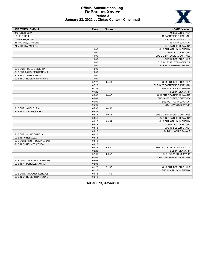

### **Official Substitutions Log DePaul vs Xavier Period 3 January 23, 2022 at Cintas Center - Cincinnati**

| <b>VISITORS: DePaul</b>      | <b>Time</b> | <b>Score</b>             | <b>HOME: Xavier</b>           |
|------------------------------|-------------|--------------------------|-------------------------------|
| 3 CHURCH, DEJA               |             |                          | 10 BEELER, SHAILA             |
| 10 HELD.LEXI                 |             |                          | 11 SATTERFIELD, KAELYNN       |
| 11 MORRIS, SONYA             |             |                          | 15 SCARLETT, MACKAYLA         |
| 21 ROGERS, DARRIONE          |             |                          | 23 HARRIS, AANAYA             |
| 24 MORROW, ANEESAH           |             |                          | 44 TOWNSEND, AYANNA           |
|                              | 10:00       | $\overline{\phantom{a}}$ | SUB OUT: CALHOUN, SHELBY      |
|                              | 10:00       |                          | SUB OUT: CLARK, NIA           |
|                              | 10:00       |                          | SUB OUT: PRENGER, COURTNEY    |
|                              | 10:00       |                          | SUB IN: BEELER, SHAILA        |
|                              | 10:00       |                          | SUB IN: SCARLETT, MACKAYLA    |
|                              | 10:00       |                          | SUB IN: TOWNSEND.AYANNA       |
| SUB OUT: 4 COLLIER, KIERRA   | 10:00       |                          |                               |
| SUB OUT: 35 HOLMES, KENDALL  | 10:00       |                          |                               |
| SUB IN: 3 CHURCH.DEJA        | 10:00       |                          |                               |
| SUB IN: 21 ROGERS, DARRIONE  | 10:00       |                          |                               |
|                              | 07:22       | 64-43                    | SUB OUT: BEELER, SHAILA       |
|                              | 07:22       |                          | SUB OUT: SATTERFIELD, KAELYNN |
|                              | 07:22       |                          | SUB IN: CALHOUN, SHELBY       |
|                              | 07:22       |                          | SUB IN: CLARK, NIA            |
|                              | 06:09       | 64-47                    | SUB OUT: TOWNSEND, AYANNA     |
|                              | 06:09       |                          | SUB IN: PRENGER, COURTNEY     |
|                              | 06:09       |                          | SUB OUT: HARRIS, AANAYA       |
|                              | 06:09       |                          | SUB IN: WOODS, KAYSIA         |
| SUB OUT: 10 HELD, LEXI       | 05:38       | 64-52                    |                               |
| SUB IN: 4 COLLIER, KIERRA    | 05:38       |                          |                               |
|                              | 03:45       | 69-54                    | SUB OUT: PRENGER, COURTNEY    |
|                              | 03:45       |                          | SUB IN: TOWNSEND, AYANNA      |
|                              | 03:13       | 69-54                    | SUB OUT: CALHOUN, SHELBY      |
|                              | 03:13       |                          | SUB OUT: CLARK, NIA           |
|                              | 03:13       |                          | SUB IN: BEELER, SHAILA        |
|                              | 03:13       |                          | SUB IN: HARRIS, AANAYA        |
| SUB OUT: 3 CHURCH.DEJA       | 03:13       |                          |                               |
| SUB IN: 10 HELD, LEXI        | 03:13       |                          |                               |
| SUB OUT: 24 MORROW, ANEESAH  | 03:13       |                          |                               |
| SUB IN: 35 HOLMES, KENDALL   | 03:13       |                          |                               |
|                              | 02:28       | 69-57                    | SUB OUT: SCARLETT.MACKAYLA    |
|                              | 02:28       |                          | SUB IN: CLARK, NIA            |
|                              | 02:08       | 69-57                    | SUB OUT: WOODS, KAYSIA        |
|                              | 02:08       |                          | SUB IN: SATTERFIELD, KAELYNN  |
| SUB OUT: 21 ROGERS, DARRIONE | 02:08       |                          |                               |
| SUB IN: 14 PURCELL, HANNAH   | 02:08       |                          |                               |
|                              | 01:22       | 71-57                    | SUB OUT: BEELER, SHAILA       |
|                              | 01:22       |                          | SUB IN: CALHOUN, SHELBY       |
| SUB OUT: 35 HOLMES, KENDALL  | 00:43       | 71-60                    |                               |
| SUB IN: 21 ROGERS, DARRIONE  | 00:43       |                          |                               |

**DePaul 73, Xavier 60**